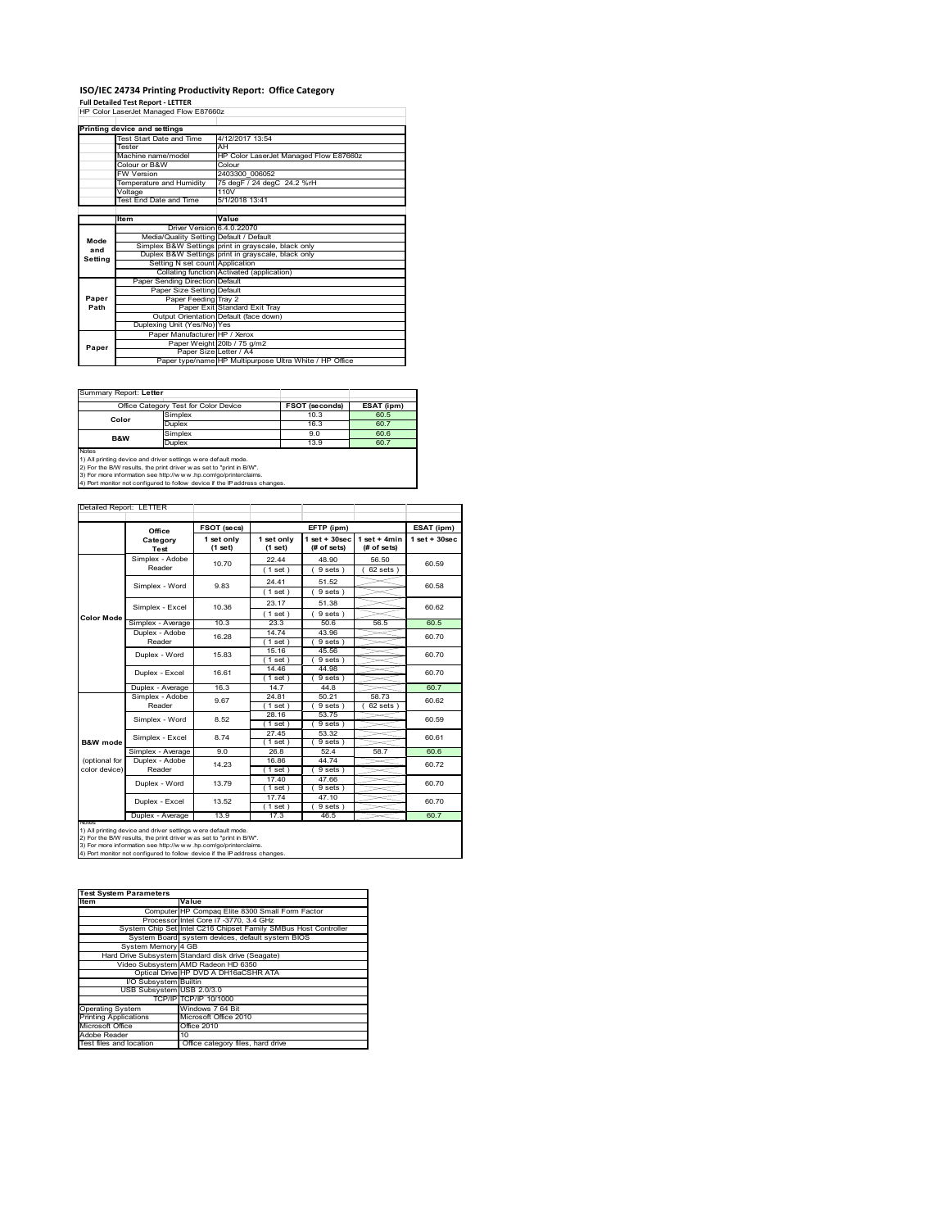# **ISO/IEC 24734 Printing Productivity Report: Office Category Full Detailed Test Report ‐ LETTER** HP Color LaserJet Managed Flow E87660z

|         | Printing device and settings            |                                                         |  |  |  |
|---------|-----------------------------------------|---------------------------------------------------------|--|--|--|
|         | Test Start Date and Time                | 4/12/2017 13:54                                         |  |  |  |
|         | Tester                                  | AH                                                      |  |  |  |
|         | Machine name/model                      | HP Color LaserJet Managed Flow E87660z                  |  |  |  |
|         | Colour or B&W                           | Colour                                                  |  |  |  |
|         | <b>FW Version</b>                       | 2403300 006052                                          |  |  |  |
|         | Temperature and Humidity                | 75 degF / 24 degC 24.2 %rH                              |  |  |  |
|         | Voltage                                 | 110V                                                    |  |  |  |
|         | Test End Date and Time                  | 5/1/2018 13:41                                          |  |  |  |
|         |                                         |                                                         |  |  |  |
|         | Item                                    | Value                                                   |  |  |  |
|         | Driver Version 6.4.0.22070              |                                                         |  |  |  |
| Mode    | Media/Quality Setting Default / Default |                                                         |  |  |  |
| and     |                                         | Simplex B&W Settings print in grayscale, black only     |  |  |  |
| Setting |                                         | Duplex B&W Settings print in grayscale, black only      |  |  |  |
|         | Setting N set count Application         |                                                         |  |  |  |
|         |                                         | Collating function Activated (application)              |  |  |  |
|         | Paper Sending Direction Default         |                                                         |  |  |  |
|         | Paper Size Setting Default              |                                                         |  |  |  |
| Paper   | Paper Feeding Tray 2                    |                                                         |  |  |  |
| Path    |                                         | Paper Exit Standard Exit Tray                           |  |  |  |
|         |                                         | Output Orientation Default (face down)                  |  |  |  |
|         | Duplexing Unit (Yes/No) Yes             |                                                         |  |  |  |
|         | Paper Manufacturer HP / Xerox           |                                                         |  |  |  |
| Paper   |                                         | Paper Weight 20lb / 75 g/m2                             |  |  |  |
|         | Paper Size Letter / A4                  |                                                         |  |  |  |
|         |                                         | Paper type/name HP Multipurpose Ultra White / HP Office |  |  |  |

÷

Summary Report: **Letter**

| i Suillinaiv Report. Letter |                                       |                       |            |
|-----------------------------|---------------------------------------|-----------------------|------------|
|                             | Office Category Test for Color Device | <b>FSOT (seconds)</b> | ESAT (ipm) |
| Color                       | Simplex                               | 10.3                  | 60.5       |
|                             | Duplex                                | 16.3                  | 60.7       |
| <b>B&amp;W</b>              | Simplex                               | 9.0                   | 60.6       |
|                             | Duplex                                | 13.9                  | 60.7       |
| Notes                       |                                       |                       |            |

Notes<br>1) All printing device and driver settings were default mode.<br>2) For the B/W results, the print driver was set to "print in B/W".<br>3) For more information see http://www.vhp.com/go/printerclaims.<br>4) Por more informati

| Detailed Report: LETTER |  |  |
|-------------------------|--|--|
|                         |  |  |

|                                            | Office            | FSOT (secs)           |                       | EFTP (ipm)                     |                               | ESAT (ipm)      |
|--------------------------------------------|-------------------|-----------------------|-----------------------|--------------------------------|-------------------------------|-----------------|
|                                            | Category<br>Test  | 1 set only<br>(1 set) | 1 set only<br>(1 set) | $1$ set + 30sec<br>(# of sets) | $1$ set + 4min<br>(# of sets) | $1$ set + 30sec |
|                                            | Simplex - Adobe   | 10.70                 | 22.44                 | 48.90                          | 56.50                         | 60.59           |
|                                            | Reader            |                       | $1$ set $)$           | 9 sets)                        | $62$ sets $)$                 |                 |
|                                            | Simplex - Word    | 9.83                  | 24.41                 | 51.52                          |                               | 60.58           |
|                                            |                   |                       | (1 set)               | 9 sets)                        |                               |                 |
|                                            | Simplex - Excel   | 10.36                 | 23.17                 | 51.38                          |                               | 60.62           |
| Color Mode                                 |                   |                       | $1$ set)              | 9 sets                         |                               |                 |
|                                            | Simplex - Average | 10.3                  | 23.3                  | 50.6                           | 56.5                          | 60.5            |
|                                            | Duplex - Adobe    | 16.28                 | 14.74                 | 43.96                          |                               | 60.70           |
|                                            | Reader            |                       | $1$ set)              | $9 sets$ )                     |                               |                 |
|                                            | Duplex - Word     | 15.83                 | 15.16                 | 45.56                          |                               | 60.70           |
|                                            |                   |                       | $1$ set)              | 9 sets)                        |                               |                 |
|                                            | Duplex - Excel    | 16.61                 | 14.46                 | 44.98                          |                               | 60.70           |
|                                            |                   |                       | $1$ set)              | 9 sets                         |                               |                 |
|                                            | Duplex - Average  | 16.3                  | 14.7                  | 44.8                           |                               | 60.7            |
| B&W mode<br>(optional for<br>color device) | Simplex - Adobe   | 9.67                  | 24.81                 | 50.21                          | 58.73                         | 60.62           |
|                                            | Reader            |                       | $1$ set)              | 9 sets                         | $62$ sets $)$                 |                 |
|                                            | Simplex - Word    | 8.52                  | 28.16                 | 53.75                          |                               | 60.59           |
|                                            |                   |                       | $1$ set)              | $9 sets$ )                     |                               |                 |
|                                            | Simplex - Excel   | 8.74                  | 27.45                 | 53.32                          |                               | 60.61           |
|                                            |                   |                       | $1$ set)              | 9 sets                         |                               |                 |
|                                            | Simplex - Average | 9.0                   | 26.8                  | 52.4                           | 58.7                          | 60.6            |
|                                            | Duplex - Adobe    | 14.23                 | 16.86                 | 44.74                          |                               | 60.72           |
|                                            | Reader            |                       | $1$ set)              | $9 sets$ )                     |                               |                 |
|                                            | Duplex - Word     | 13.79                 | 17.40                 | 47.66                          |                               | 60.70           |
| <b>NOTAS</b>                               |                   |                       | $1$ set)              | $9 sets$ )                     |                               |                 |
|                                            | Duplex - Excel    | 13.52                 | 17.74                 | 47.10                          |                               | 60.70           |
|                                            | Duplex - Average  | 13.9                  | $1$ set)<br>17.3      | 9 sets )<br>46.5               |                               | 60.7            |
|                                            |                   |                       |                       |                                |                               |                 |

| Value<br><b>Item</b><br>Computer HP Compaq Elite 8300 Small Form Factor<br>Processor Intel Core i7 -3770, 3.4 GHz<br>System Chip Set Intel C216 Chipset Family SMBus Host Controller<br>System Board system devices, default system BIOS<br>System Memory 4 GB<br>Hard Drive Subsystem Standard disk drive (Seagate)<br>Video Subsystem AMD Radeon HD 6350<br>Optical Drive HP DVD A DH16aCSHR ATA<br>I/O Subsystem Builtin<br>USB Subsystem USB 2.0/3.0<br>TCP/IPITCP/IP 10/1000<br>Windows 7 64 Bit |
|-------------------------------------------------------------------------------------------------------------------------------------------------------------------------------------------------------------------------------------------------------------------------------------------------------------------------------------------------------------------------------------------------------------------------------------------------------------------------------------------------------|
|                                                                                                                                                                                                                                                                                                                                                                                                                                                                                                       |
|                                                                                                                                                                                                                                                                                                                                                                                                                                                                                                       |
|                                                                                                                                                                                                                                                                                                                                                                                                                                                                                                       |
|                                                                                                                                                                                                                                                                                                                                                                                                                                                                                                       |
|                                                                                                                                                                                                                                                                                                                                                                                                                                                                                                       |
|                                                                                                                                                                                                                                                                                                                                                                                                                                                                                                       |
|                                                                                                                                                                                                                                                                                                                                                                                                                                                                                                       |
|                                                                                                                                                                                                                                                                                                                                                                                                                                                                                                       |
|                                                                                                                                                                                                                                                                                                                                                                                                                                                                                                       |
|                                                                                                                                                                                                                                                                                                                                                                                                                                                                                                       |
|                                                                                                                                                                                                                                                                                                                                                                                                                                                                                                       |
|                                                                                                                                                                                                                                                                                                                                                                                                                                                                                                       |
| <b>Operating System</b>                                                                                                                                                                                                                                                                                                                                                                                                                                                                               |
| Microsoft Office 2010<br><b>Printing Applications</b>                                                                                                                                                                                                                                                                                                                                                                                                                                                 |
| Microsoft Office<br>Office 2010                                                                                                                                                                                                                                                                                                                                                                                                                                                                       |
| Adobe Reader<br>10                                                                                                                                                                                                                                                                                                                                                                                                                                                                                    |
| Test files and location<br>Office category files, hard drive                                                                                                                                                                                                                                                                                                                                                                                                                                          |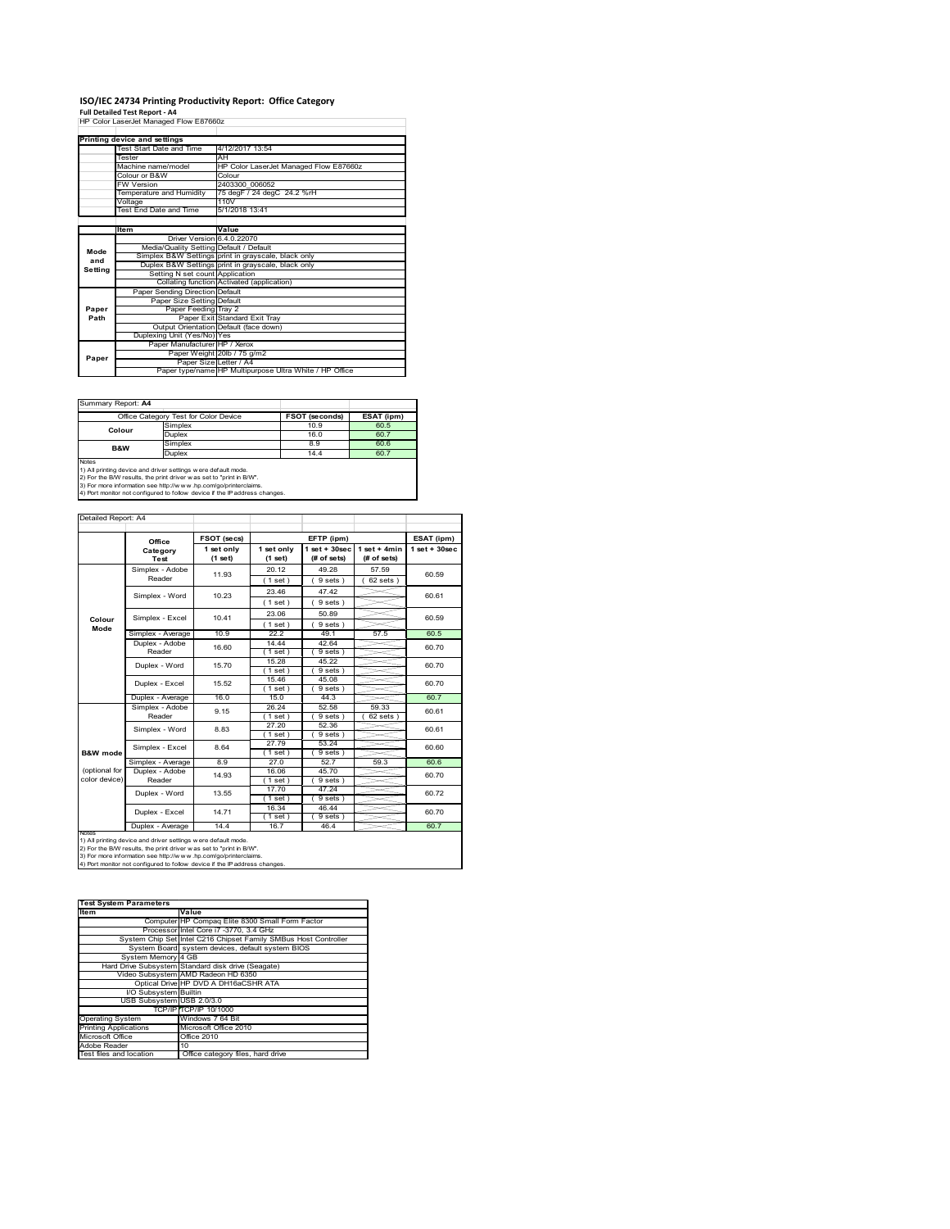# **ISO/IEC 24734 Printing Productivity Report: Office Category Full Detailed Test Report ‐ A4** HP Color LaserJet Managed Flow E87660z

|         | HP Color LaserJet Managed Flow E87660z  |                                                         |
|---------|-----------------------------------------|---------------------------------------------------------|
|         |                                         |                                                         |
|         | Printing device and settings            |                                                         |
|         | Test Start Date and Time                | 4/12/2017 13:54                                         |
|         | Tester                                  | AH                                                      |
|         | Machine name/model                      | HP Color LaserJet Managed Flow E87660z                  |
|         | Colour or B&W                           | Colour                                                  |
|         | <b>FW Version</b>                       | 2403300 006052                                          |
|         | Temperature and Humidity                | 75 degF / 24 degC 24.2 %rH                              |
|         | Voltage                                 | 110V                                                    |
|         | Test End Date and Time                  | 5/1/2018 13:41                                          |
|         |                                         |                                                         |
|         | Item                                    | Value                                                   |
| Mode    | Driver Version 6.4.0.22070              |                                                         |
|         | Media/Quality Setting Default / Default |                                                         |
| and     |                                         | Simplex B&W Settings print in grayscale, black only     |
| Setting |                                         | Duplex B&W Settings print in grayscale, black only      |
|         | Setting N set count Application         |                                                         |
|         |                                         | Collating function Activated (application)              |
|         | Paper Sending Direction Default         |                                                         |
|         | Paper Size Setting Default              |                                                         |
| Paper   | Paper Feeding Tray 2                    |                                                         |
| Path    |                                         | Paper Exit Standard Exit Tray                           |
|         |                                         | Output Orientation Default (face down)                  |
|         | Duplexing Unit (Yes/No) Yes             |                                                         |
|         | Paper Manufacturer HP / Xerox           |                                                         |
| Paper   |                                         | Paper Weight 20lb / 75 g/m2                             |
|         | Paper Size Letter / A4                  |                                                         |
|         |                                         | Paper type/name HP Multipurpose Ultra White / HP Office |

Summary Report: **A4**

|                                                                     | Office Category Test for Color Device                                      | <b>FSOT (seconds)</b> | ESAT (ipm) |  |  |  |  |
|---------------------------------------------------------------------|----------------------------------------------------------------------------|-----------------------|------------|--|--|--|--|
| Colour                                                              | 60.5                                                                       |                       |            |  |  |  |  |
|                                                                     | Duplex                                                                     | 16.0                  | 60.7       |  |  |  |  |
| 60.6<br>Simplex<br>8.9<br><b>B&amp;W</b>                            |                                                                            |                       |            |  |  |  |  |
| Duplex<br>60.7<br>14.4                                              |                                                                            |                       |            |  |  |  |  |
| Notes                                                               |                                                                            |                       |            |  |  |  |  |
| 1) All printing device and driver settings w ere default mode.      |                                                                            |                       |            |  |  |  |  |
| 2) For the B/W results, the print driver was set to "print in B/W". |                                                                            |                       |            |  |  |  |  |
|                                                                     | 3) For more information see http://www.hp.com/go/printerclaims.            |                       |            |  |  |  |  |
|                                                                     | 4) Port monitor not configured to follow device if the IP address changes. |                       |            |  |  |  |  |

|                                | Office                    | FSOT (secs)           |                       | EFTP (ipm)                        |                               | ESAT (ipm)         |
|--------------------------------|---------------------------|-----------------------|-----------------------|-----------------------------------|-------------------------------|--------------------|
|                                | Category<br>Test          | 1 set only<br>(1 set) | 1 set only<br>(1 set) | $1$ set + $30$ sec<br>(# of sets) | $1$ set + 4min<br>(# of sets) | $1$ set + $30$ sec |
|                                | Simplex - Adobe<br>Reader | 11.93                 | 20.12<br>$1$ set $)$  | 49.28<br>9 sets)                  | 57.59<br>$62$ sets $)$        | 60.59              |
|                                | Simplex - Word            | 10.23                 | 23.46<br>$1$ set)     | 47.42<br>9 sets)                  |                               | 60.61              |
| Colour                         | Simplex - Excel           | 10.41                 | 23.06<br>(1 set)      | 50.89<br>9 sets)                  |                               | 60.59              |
| Mode                           | Simplex - Average         | 10.9                  | 22.2                  | 49.1                              | 57.5                          | 60.5               |
|                                | Duplex - Adobe<br>Reader  | 16.60                 | 14.44<br>$1$ set $)$  | 42.64<br>9 sets)                  |                               | 60.70              |
|                                | Duplex - Word             | 15.70                 | 15.28<br>$1$ set)     | 45.22<br>$9 sets$ )               |                               | 60.70              |
|                                | Duplex - Excel            | 15.52                 | 15.46<br>$1$ set $)$  | 45.08<br>9 sets                   |                               | 60.70              |
|                                | Duplex - Average          | 16.0                  | 15.0                  | 44.3                              |                               | 60.7               |
|                                | Simplex - Adobe<br>Reader | 9.15                  | 26.24<br>$1$ set)     | 52.58<br>9 sets)                  | 59.33<br>$62$ sets)           | 60.61              |
|                                | Simplex - Word            | 8.83                  | 27.20<br>$1$ set)     | 52.36<br>9 sets)                  |                               | 60.61              |
| <b>B&amp;W</b> mode            | Simplex - Excel           | 8.64                  | 27.79<br>$1$ set)     | 53.24<br>9 sets)                  |                               | 60.60              |
|                                | Simplex - Average         | 8.9                   | 27.0                  | 52.7                              | 59.3                          | 60.6               |
| (optional for<br>color device) | Duplex - Adobe<br>Reader  | 14.93                 | 16.06<br>$1$ set $)$  | 45.70<br>9 sets)                  |                               | 60.70              |
|                                | Duplex - Word             | 13.55                 | 17.70<br>$1$ set $)$  | 47.24<br>9 sets)                  |                               | 60.72              |
|                                | Duplex - Excel            | 14.71                 | 16.34<br>$1$ set)     | 46.44<br>$9 sets$ )               |                               | 60.70              |
|                                | Duplex - Average          | 14.4                  | 16.7                  | 46.4                              |                               | 60.7               |

notes<br>1) All printing device and driver settings w ere default mode.<br>2) For the B/W results, the print driver was set to "print in B/W".<br>3) For more information see http://www.vhp.com/go/printerclaims.<br>4) For more informat

| <b>Test System Parameters</b> |                                                                 |
|-------------------------------|-----------------------------------------------------------------|
| <b>Item</b>                   | Value                                                           |
|                               | Computer HP Compaq Elite 8300 Small Form Factor                 |
|                               | Processor Intel Core i7 -3770, 3.4 GHz                          |
|                               | System Chip Set Intel C216 Chipset Family SMBus Host Controller |
|                               | System Board system devices, default system BIOS                |
| System Memory 4 GB            |                                                                 |
|                               | Hard Drive Subsystem Standard disk drive (Seagate)              |
|                               | Video Subsystem AMD Radeon HD 6350                              |
|                               | Optical Drive HP DVD A DH16aCSHR ATA                            |
| I/O Subsystem Builtin         |                                                                 |
| USB Subsystem USB 2.0/3.0     |                                                                 |
|                               | TCP/IPITCP/IP 10/1000                                           |
| <b>Operating System</b>       | Windows 7 64 Bit                                                |
| <b>Printing Applications</b>  | Microsoft Office 2010                                           |
| Microsoft Office              | Office 2010                                                     |
| Adobe Reader                  | 10                                                              |
| Test files and location       | Office category files, hard drive                               |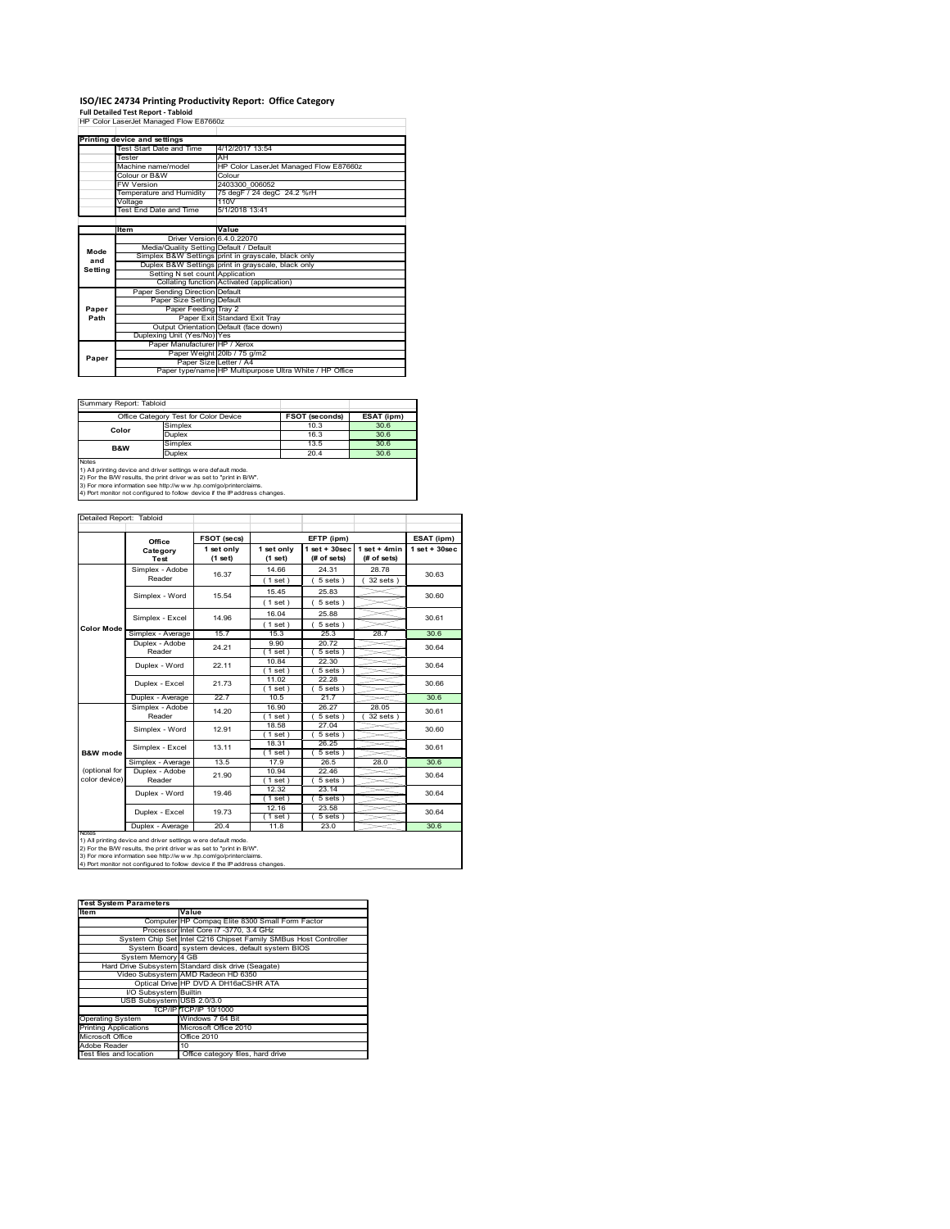# **ISO/IEC 24734 Printing Productivity Report: Office Category Full Detailed Test Report ‐ Tabloid** HP Color LaserJet Managed Flow E87660z

|                        | HP Color LaserJet Managed Flow E87660z  |                                                         |  |
|------------------------|-----------------------------------------|---------------------------------------------------------|--|
|                        |                                         |                                                         |  |
|                        | Printing device and settings            |                                                         |  |
|                        | Test Start Date and Time                | 4/12/2017 13:54                                         |  |
|                        | Tester                                  | AH                                                      |  |
|                        | Machine name/model                      | HP Color LaserJet Managed Flow E87660z                  |  |
|                        | Colour or B&W                           | Colour                                                  |  |
|                        | <b>FW Version</b>                       | 2403300 006052                                          |  |
|                        | Temperature and Humidity                | 75 degF / 24 degC 24.2 %rH                              |  |
|                        | Voltage                                 | 110V                                                    |  |
|                        | Test End Date and Time                  | 5/1/2018 13:41                                          |  |
|                        |                                         |                                                         |  |
|                        | Item                                    | Value                                                   |  |
| Mode<br>and<br>Setting | Driver Version 6.4.0.22070              |                                                         |  |
|                        | Media/Quality Setting Default / Default |                                                         |  |
|                        |                                         | Simplex B&W Settings print in grayscale, black only     |  |
|                        |                                         | Duplex B&W Settings print in grayscale, black only      |  |
|                        | Setting N set count Application         |                                                         |  |
|                        |                                         | Collating function Activated (application)              |  |
|                        | Paper Sending Direction Default         |                                                         |  |
| Paper<br>Path          | Paper Size Setting Default              |                                                         |  |
|                        | Paper Feeding Tray 2                    |                                                         |  |
|                        |                                         | Paper Exit Standard Exit Tray                           |  |
|                        |                                         | Output Orientation Default (face down)                  |  |
|                        | Duplexing Unit (Yes/No) Yes             |                                                         |  |
|                        | Paper Manufacturer HP / Xerox           |                                                         |  |
| Paper                  |                                         | Paper Weight 20lb / 75 g/m2                             |  |
|                        | Paper Size Letter / A4                  |                                                         |  |
|                        |                                         | Paper type/name HP Multipurpose Ultra White / HP Office |  |

Summary Report: Tabloid

|                                                                     | Office Category Test for Color Device                                      | <b>FSOT (seconds)</b> | ESAT (ipm) |  |  |  |  |
|---------------------------------------------------------------------|----------------------------------------------------------------------------|-----------------------|------------|--|--|--|--|
| Simplex<br>10.3<br>30.6<br>Color                                    |                                                                            |                       |            |  |  |  |  |
|                                                                     | Duplex                                                                     | 16.3                  | 30.6       |  |  |  |  |
| <b>B&amp;W</b>                                                      | 30.6<br>Simplex<br>13.5                                                    |                       |            |  |  |  |  |
| Duplex<br>30.6<br>20.4                                              |                                                                            |                       |            |  |  |  |  |
| Notes                                                               |                                                                            |                       |            |  |  |  |  |
| 1) All printing device and driver settings w ere default mode.      |                                                                            |                       |            |  |  |  |  |
| 2) For the B/W results, the print driver was set to "print in B/W". |                                                                            |                       |            |  |  |  |  |
|                                                                     | 3) For more information see http://www.hp.com/go/printerclaims.            |                       |            |  |  |  |  |
|                                                                     | 4) Port monitor not configured to follow device if the IP address changes. |                       |            |  |  |  |  |

| Detailed Report: Tabloid |                          |                       |                         |                                   |                               |                    |
|--------------------------|--------------------------|-----------------------|-------------------------|-----------------------------------|-------------------------------|--------------------|
|                          | Office                   | FSOT (secs)           |                         | EFTP (ipm)                        |                               | ESAT (ipm)         |
|                          | Category<br><b>Test</b>  | 1 set only<br>(1 set) | 1 set only<br>$(1$ set) | $1$ set + $30$ sec<br>(# of sets) | $1$ set + 4min<br>(# of sets) | $1$ set + $30$ sec |
|                          | Simplex - Adobe          | 16.37                 | 14.66                   | 24.31                             | 28.78                         | 30.63              |
|                          | Reader                   |                       | $1$ set)                | 5 sets)                           | $32$ sets $)$                 |                    |
|                          | Simplex - Word           | 15.54                 | 15.45                   | 25.83                             |                               | 30.60              |
|                          |                          |                       | $1$ set)                | 5 sets)                           |                               |                    |
|                          | Simplex - Excel          | 14.96                 | 16.04                   | 25.88                             |                               | 30.61              |
| <b>Color Mode</b>        |                          |                       | (1 set)                 | $5 sets$ )                        |                               |                    |
|                          | Simplex - Average        | 15.7                  | 15.3                    | 25.3                              | 28.7                          | 30.6               |
|                          | Duplex - Adobe           | 24.21                 | 9.90                    | 20.72                             |                               | 30.64<br>30.64     |
|                          | Reader                   |                       | (1 set)                 | $5 sets$ )                        |                               |                    |
|                          | Duplex - Word            | 22.11                 | 10.84                   | 22.30                             |                               |                    |
|                          |                          |                       | $1$ set)                | $5 sets$ )                        |                               |                    |
|                          | Duplex - Excel           | 21.73                 | 11.02                   | 22.28                             |                               | 30.66              |
|                          |                          |                       | $1$ set)                | $5 sets$ )                        |                               |                    |
|                          | Duplex - Average         | 22.7                  | 10.5                    | 21.7                              |                               | 30.6               |
|                          | Simplex - Adobe          | 14.20                 | 16.90                   | 26.27                             | 28.05                         | 30.61              |
|                          | Reader                   |                       | $1$ set $)$             | 5 sets 1                          | 32 sets 1                     |                    |
|                          | Simplex - Word           | 12.91                 | 18.58                   | 27.04                             |                               | 30.60              |
|                          |                          |                       | $1$ set)                | 5 sets)                           |                               |                    |
| B&W mode                 | Simplex - Excel          | 13.11                 | 18.31                   | 26.25                             |                               | 30.61              |
|                          |                          | 13.5                  | $1$ set $)$<br>17.9     | $5 sets$ )<br>26.5                | 28.0                          | 30.6               |
| (optional for            | Simplex - Average        |                       | 10.94                   | 22.46                             |                               |                    |
| color device)            | Duplex - Adobe<br>Reader | 21.90                 | $1$ set)                | 5 sets)                           |                               | 30.64              |
|                          |                          |                       | 12.32                   | 23.14                             |                               |                    |
|                          | Duplex - Word            | 19.46                 | $1$ set $)$             | 5 sets)                           |                               | 30.64              |
|                          |                          |                       | 12.16                   | 23.58                             |                               | 30.64              |
|                          | Duplex - Excel           | 19.73                 | $1$ set)                | $5 sets$ )                        |                               |                    |
|                          | Duplex - Average         | 20.4                  | 11.8                    | 23.0                              |                               | 30.6               |
| <b>NOtes</b>             |                          |                       |                         |                                   |                               |                    |

notes<br>1) All printing device and driver settings w ere default mode.<br>2) For the B/W results, the print driver was set to "print in B/W".<br>3) For more information see http://w w.w. r.p.com/go/printerclaims.<br>4) For more infor

| <b>Test System Parameters</b> |                                                                 |
|-------------------------------|-----------------------------------------------------------------|
| <b>Item</b>                   | Value                                                           |
|                               | Computer HP Compaq Elite 8300 Small Form Factor                 |
|                               | Processor Intel Core i7 -3770, 3.4 GHz                          |
|                               | System Chip Set Intel C216 Chipset Family SMBus Host Controller |
|                               | System Board system devices, default system BIOS                |
| System Memory 4 GB            |                                                                 |
|                               | Hard Drive Subsystem Standard disk drive (Seagate)              |
|                               | Video Subsystem AMD Radeon HD 6350                              |
|                               | Optical Drive HP DVD A DH16aCSHR ATA                            |
| I/O Subsystem Builtin         |                                                                 |
| USB Subsystem USB 2.0/3.0     |                                                                 |
|                               | TCP/IPITCP/IP 10/1000                                           |
| <b>Operating System</b>       | Windows 7 64 Bit                                                |
| <b>Printing Applications</b>  | Microsoft Office 2010                                           |
| Microsoft Office              | Office 2010                                                     |
| Adobe Reader                  | 10                                                              |
| Test files and location       | Office category files, hard drive                               |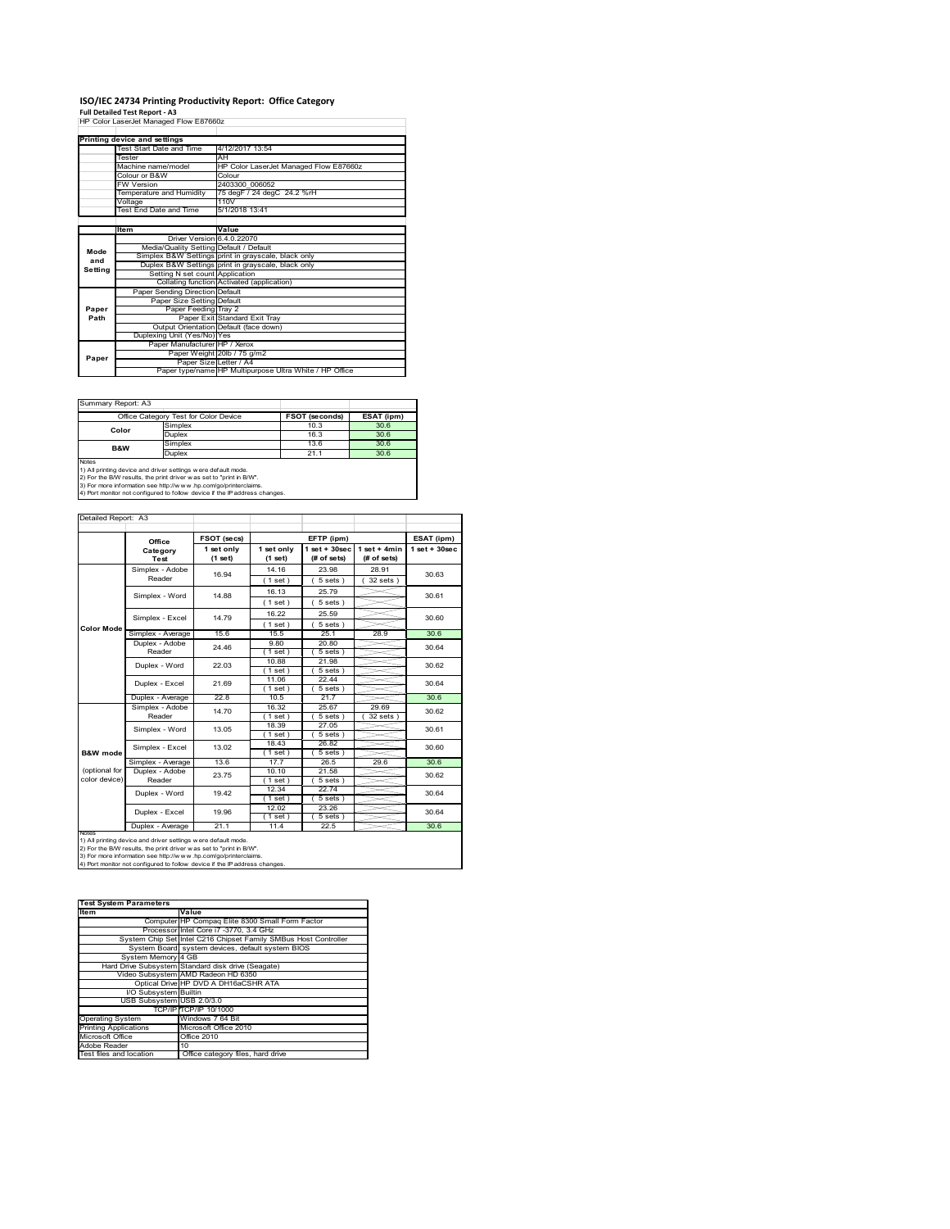# **ISO/IEC 24734 Printing Productivity Report: Office Category Full Detailed Test Report ‐ A3** HP Color LaserJet Managed Flow E87660z

|         | HP Color LaserJet Managed Flow E87660z  |                                                         |
|---------|-----------------------------------------|---------------------------------------------------------|
|         |                                         |                                                         |
|         | Printing device and settings            |                                                         |
|         | Test Start Date and Time                | 4/12/2017 13:54                                         |
|         | Tester                                  | AH                                                      |
|         | Machine name/model                      | HP Color LaserJet Managed Flow E87660z                  |
|         | Colour or B&W                           | Colour                                                  |
|         | <b>FW Version</b>                       | 2403300 006052                                          |
|         | Temperature and Humidity                | 75 degF / 24 degC 24.2 %rH                              |
|         | Voltage                                 | 110V                                                    |
|         | Test End Date and Time                  | 5/1/2018 13:41                                          |
|         |                                         |                                                         |
|         | Item                                    | Value                                                   |
|         | Driver Version 6.4.0.22070              |                                                         |
| Mode    | Media/Quality Setting Default / Default |                                                         |
| and     |                                         | Simplex B&W Settings print in grayscale, black only     |
| Setting |                                         | Duplex B&W Settings print in grayscale, black only      |
|         | Setting N set count Application         |                                                         |
|         |                                         | Collating function Activated (application)              |
|         | Paper Sending Direction Default         |                                                         |
|         | Paper Size Setting Default              |                                                         |
| Paper   | Paper Feeding Tray 2                    |                                                         |
| Path    |                                         | Paper Exit Standard Exit Tray                           |
|         |                                         | Output Orientation Default (face down)                  |
|         | Duplexing Unit (Yes/No) Yes             |                                                         |
|         | Paper Manufacturer HP / Xerox           |                                                         |
| Paper   |                                         | Paper Weight 20lb / 75 g/m2                             |
|         |                                         | Paper Size Letter / A4                                  |
|         |                                         | Paper type/name HP Multipurpose Ultra White / HP Office |

Summary Report: A3

|                | Office Category Test for Color Device                                      | <b>FSOT (seconds)</b> | ESAT (ipm) |
|----------------|----------------------------------------------------------------------------|-----------------------|------------|
| Color          | Simplex                                                                    | 10.3                  | 30.6       |
|                | <b>Duplex</b>                                                              | 16.3                  | 30.6       |
| <b>B&amp;W</b> | Simplex                                                                    | 13.6                  | 30.6       |
|                | Duplex                                                                     | 21.1                  | 30.6       |
| Notes          |                                                                            |                       |            |
|                | 1) All printing device and driver settings w ere default mode.             |                       |            |
|                | 2) For the B/W results, the print driver was set to "print in B/W".        |                       |            |
|                | 3) For more information see http://www.hp.com/go/printerclaims.            |                       |            |
|                | 4) Port monitor not configured to follow device if the IP address changes. |                       |            |

|                   | Office                              | FSOT (secs)           |                         | EFTP (ipm)                        |                               | ESAT (ipm)         |
|-------------------|-------------------------------------|-----------------------|-------------------------|-----------------------------------|-------------------------------|--------------------|
|                   | Category<br>Test                    | 1 set only<br>(1 set) | 1 set only<br>$(1$ set) | $1$ set + $30$ sec<br>(# of sets) | $1$ set + 4min<br>(# of sets) | $1$ set + $30$ sec |
|                   | Simplex - Adobe<br>Reader           | 16.94                 | 14.16                   | 23.98                             | 28.91                         | 30.63              |
|                   |                                     |                       | (1 set)                 | $5 sets$ )                        | $32$ sets                     |                    |
|                   | Simplex - Word                      | 14.88                 | 16.13                   | 25.79                             |                               | 30.61              |
|                   |                                     |                       | $1$ set)                | $5 sets$ )                        |                               |                    |
|                   | Simplex - Excel                     | 14.79                 | 16.22                   | 25.59                             |                               | 30.60              |
| <b>Color Mode</b> |                                     |                       | (1 set)                 | $5 sets$ )                        |                               |                    |
|                   | Simplex - Average                   | 15.6                  | 15.5                    | 25.1                              | 28.9                          | 30.6               |
|                   | Duplex - Adobe                      | 24.46                 | 9.80                    | 20.80                             |                               | 30.64              |
|                   | Reader                              |                       | $1$ set)                | 5 sets)                           |                               |                    |
|                   | Duplex - Word                       | 22.03                 | 10.88                   | 21.98                             |                               | 30.62              |
|                   |                                     |                       | (1 set)<br>11.06        | 5 sets)<br>22.44                  |                               |                    |
|                   | Duplex - Excel                      | 21.69                 | $1$ set)                | $5 sets$ )                        |                               | 30.64              |
|                   | Duplex - Average                    | 22.8                  | 10.5                    | 21.7                              |                               | 30.6               |
|                   | Simplex - Adobe                     | 14.70                 | 16.32                   | 25.67                             | 29.69                         | 30.62              |
|                   | Reader                              |                       | $1$ set)                | $5 sets$ )                        | $32$ sets                     |                    |
|                   | Simplex - Word                      | 13.05                 | 18.39                   | 27.05                             |                               | 30.61              |
|                   |                                     |                       | $1$ set)                | $5 sets$ )                        |                               |                    |
|                   | Simplex - Excel                     | 13.02                 | 18.43                   | 26.82                             |                               | 30.60              |
| B&W mode          |                                     | 13.6                  | $1$ set)<br>17.7        | 5 sets)<br>26.5                   | 29.6                          | 30.6               |
| (optional for     | Simplex - Average<br>Duplex - Adobe |                       | 10.10                   | 21.58                             |                               |                    |
| color device)     | Reader                              | 23.75                 | $1$ set)                | 5 sets)                           |                               | 30.62              |
|                   |                                     |                       | 12.34                   | 22.74                             |                               |                    |
|                   | Duplex - Word                       | 19.42                 | (1 set)                 | $\overline{5}$ sets)              |                               | 30.64              |
|                   | Duplex - Excel                      | 19.96                 | 12.02                   | 23.26                             |                               | 30.64              |
|                   |                                     |                       | $1$ set)                | $5 sets$ )                        |                               |                    |
| <b>INOTES</b>     | Duplex - Average                    | 21.1                  | 11.4                    | 22.5                              |                               | 30.6               |

notes<br>1) All printing device and driver settings w ere default mode.<br>2) For the B/W results, the print driver was set to "print in B/W".<br>3) For more information see http://www.vhp.com/go/printerclaims.<br>4) For more informat

| <b>Test System Parameters</b> |                                                                 |
|-------------------------------|-----------------------------------------------------------------|
| <b>Item</b>                   | Value                                                           |
|                               | Computer HP Compaq Elite 8300 Small Form Factor                 |
|                               | Processor Intel Core i7 -3770, 3.4 GHz                          |
|                               | System Chip Set Intel C216 Chipset Family SMBus Host Controller |
|                               | System Board system devices, default system BIOS                |
| System Memory 4 GB            |                                                                 |
|                               | Hard Drive Subsystem Standard disk drive (Seagate)              |
|                               | Video Subsystem AMD Radeon HD 6350                              |
|                               | Optical Drive HP DVD A DH16aCSHR ATA                            |
| I/O Subsystem Builtin         |                                                                 |
| USB Subsystem USB 2.0/3.0     |                                                                 |
|                               | TCP/IPITCP/IP 10/1000                                           |
| <b>Operating System</b>       | Windows 7 64 Bit                                                |
| <b>Printing Applications</b>  | Microsoft Office 2010                                           |
| Microsoft Office              | Office 2010                                                     |
| Adobe Reader                  | 10                                                              |
| Test files and location       | Office category files, hard drive                               |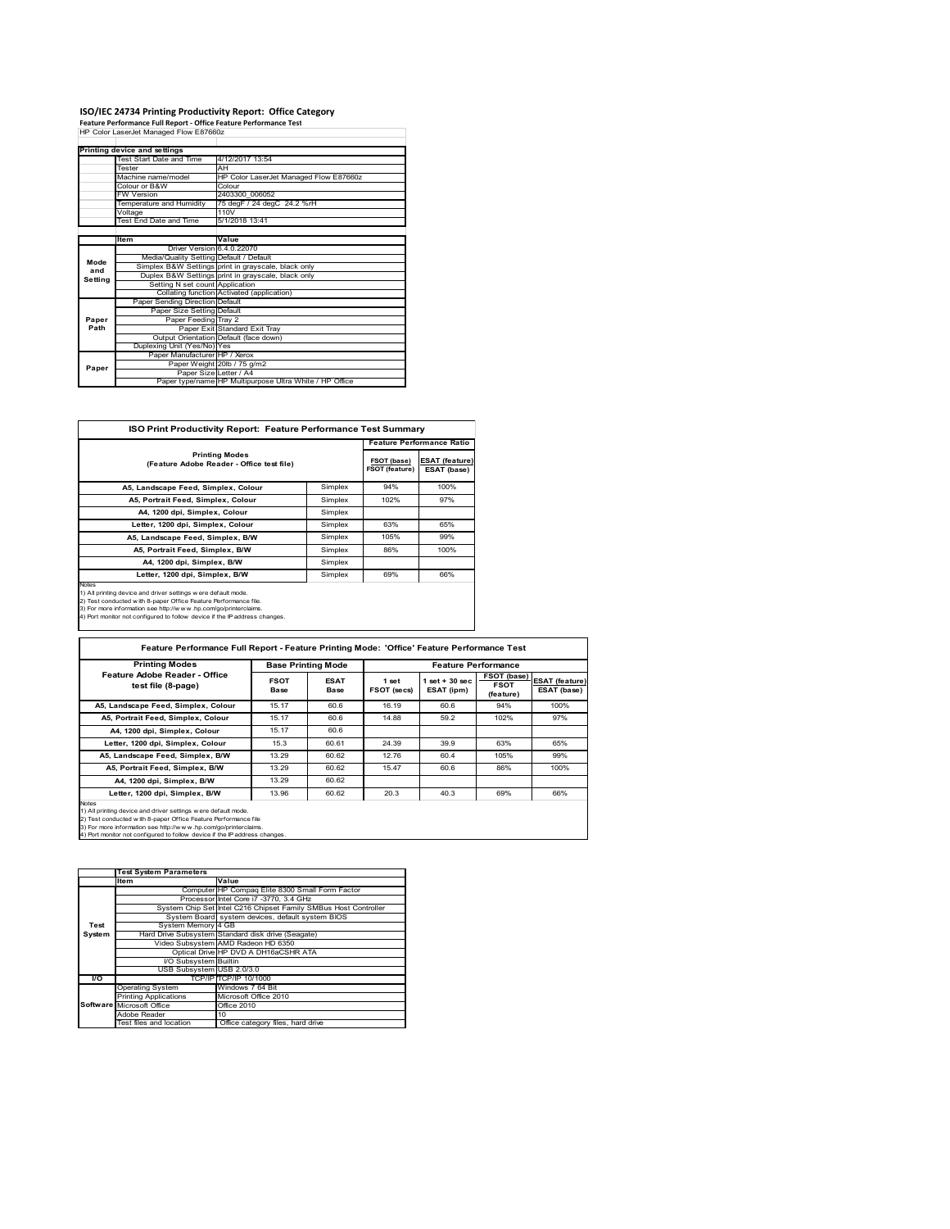# **ISO/IEC 24734 Printing Productivity Report: Office Category Feature Performance Full Report ‐ Office Feature Performance Test** HP Color LaserJet Managed Flow E87660z

|         | Printing device and settings            |                                                         |
|---------|-----------------------------------------|---------------------------------------------------------|
|         | Test Start Date and Time                | 4/12/2017 13:54                                         |
|         | Tester                                  | AH                                                      |
|         | Machine name/model                      | HP Color LaserJet Managed Flow E87660z                  |
|         | Colour or B&W                           | Colour                                                  |
|         | <b>FW Version</b>                       | 2403300 006052                                          |
|         | Temperature and Humidity                | 75 degF / 24 degC 24.2 %rH                              |
|         | Voltage                                 | 110V                                                    |
|         | Test End Date and Time                  | 5/1/2018 13:41                                          |
|         |                                         |                                                         |
|         | Item                                    | Value                                                   |
|         | Driver Version 6.4.0.22070              |                                                         |
| Mode    | Media/Quality Setting Default / Default |                                                         |
| and     |                                         | Simplex B&W Settings print in grayscale, black only     |
| Setting |                                         | Duplex B&W Settings print in grayscale, black only      |
|         | Setting N set count Application         |                                                         |
|         |                                         | Collating function Activated (application)              |
|         | Paper Sending Direction Default         |                                                         |
|         | Paper Size Setting Default              |                                                         |
| Paper   | Paper Feeding Tray 2                    |                                                         |
| Path    |                                         | Paper Exit Standard Exit Tray                           |
|         |                                         | Output Orientation Default (face down)                  |
|         | Duplexing Unit (Yes/No) Yes             |                                                         |
|         | Paper Manufacturer HP / Xerox           |                                                         |
| Paper   |                                         | Paper Weight 20lb / 75 g/m2                             |
|         | Paper Size Letter / A4                  |                                                         |
|         |                                         | Paper type/name HP Multipurpose Ultra White / HP Office |

| <b>ISO Print Productivity Report: Feature Performance Test Summary</b>                                                                                                                                                                                                                            |         |                               |                                      |
|---------------------------------------------------------------------------------------------------------------------------------------------------------------------------------------------------------------------------------------------------------------------------------------------------|---------|-------------------------------|--------------------------------------|
|                                                                                                                                                                                                                                                                                                   |         |                               | <b>Feature Performance Ratio</b>     |
| <b>Printing Modes</b><br>(Feature Adobe Reader - Office test file)                                                                                                                                                                                                                                |         | FSOT (base)<br>FSOT (feature) | <b>ESAT (feature)</b><br>ESAT (base) |
| A5, Landscape Feed, Simplex, Colour                                                                                                                                                                                                                                                               | Simplex | 94%                           | 100%                                 |
| A5, Portrait Feed, Simplex, Colour                                                                                                                                                                                                                                                                | Simplex | 102%                          | 97%                                  |
| A4, 1200 dpi, Simplex, Colour                                                                                                                                                                                                                                                                     | Simplex |                               |                                      |
| Letter, 1200 dpi, Simplex, Colour                                                                                                                                                                                                                                                                 | Simplex | 63%                           | 65%                                  |
| A5, Landscape Feed, Simplex, B/W                                                                                                                                                                                                                                                                  | Simplex | 105%                          | 99%                                  |
| A5, Portrait Feed, Simplex, B/W                                                                                                                                                                                                                                                                   | Simplex | 86%                           | 100%                                 |
| A4, 1200 dpi, Simplex, B/W                                                                                                                                                                                                                                                                        | Simplex |                               |                                      |
| Letter, 1200 dpi, Simplex, B/W                                                                                                                                                                                                                                                                    | Simplex | 69%                           | 66%                                  |
| <b>Notes</b><br>1) All printing device and driver settings were default mode.<br>2) Test conducted with 8-paper Office Feature Performance file.<br>3) For more information see http://www.hp.com/go/printerclaims.<br>4) Port monitor not configured to follow device if the IP address changes. |         |                               |                                      |

| <b>Printing Modes</b>                                                                                                                                                                                                                                                                             |                            | <b>Base Printing Mode</b>  |                      |                                  | <b>Feature Performance</b>              |                                      |
|---------------------------------------------------------------------------------------------------------------------------------------------------------------------------------------------------------------------------------------------------------------------------------------------------|----------------------------|----------------------------|----------------------|----------------------------------|-----------------------------------------|--------------------------------------|
| Feature Adobe Reader - Office<br>test file (8-page)                                                                                                                                                                                                                                               | <b>FSOT</b><br><b>Base</b> | <b>ESAT</b><br><b>Base</b> | 1 set<br>FSOT (secs) | $1$ set $+30$ sec.<br>ESAT (ipm) | FSOT (base)<br><b>FSOT</b><br>(feature) | <b>ESAT (feature)</b><br>ESAT (base) |
| A5, Landscape Feed, Simplex, Colour                                                                                                                                                                                                                                                               | 15.17                      | 60.6                       | 16.19                | 60.6                             | 94%                                     | 100%                                 |
| A5, Portrait Feed, Simplex, Colour                                                                                                                                                                                                                                                                | 15.17                      | 60.6                       | 14.88                | 59.2                             | 102%                                    | 97%                                  |
| A4, 1200 dpi, Simplex, Colour                                                                                                                                                                                                                                                                     | 15.17                      | 60.6                       |                      |                                  |                                         |                                      |
| Letter, 1200 dpi, Simplex, Colour                                                                                                                                                                                                                                                                 | 15.3                       | 60.61                      | 24.39                | 39.9                             | 63%                                     | 65%                                  |
| A5, Landscape Feed, Simplex, B/W                                                                                                                                                                                                                                                                  | 13.29                      | 60.62                      | 12.76                | 60.4                             | 105%                                    | 99%                                  |
| A5, Portrait Feed, Simplex, B/W                                                                                                                                                                                                                                                                   | 13.29                      | 60.62                      | 15.47                | 60.6                             | 86%                                     | 100%                                 |
| A4, 1200 dpi. Simplex, B/W                                                                                                                                                                                                                                                                        | 13.29                      | 60.62                      |                      |                                  |                                         |                                      |
| Letter, 1200 dpi, Simplex, B/W                                                                                                                                                                                                                                                                    | 13.96                      | 60.62                      | 20.3                 | 40.3                             | 69%                                     | 66%                                  |
| <b>Notes</b><br>1) All printing device and driver settings were default mode.<br>2) Test conducted w ith 8-paper Office Feature Performance file<br>3) For more information see http://www.hp.com/go/printerclaims.<br>4) Port monitor not configured to follow device if the IP address changes. |                            |                            |                      |                                  |                                         |                                      |

1tem<br>
2011 - Compare Elite 8300 Small Form Factor<br>
2012 - Processor Intel Core 17 -3770, 3.4 GHz<br>
2015 - System Controller<br>
216 Chips System Board<br>
216 Chips Farmily SMBus Host Controller<br>
216 Chips System Board<br>
216 Chips System Memory 4 GB<br>Hard Drive Subsystem Stand Hard Drive Subsystem Standard disk drive (Seagate) Video Subsystem AMD Radeon HD 6350 Optical Drive HP DVD A DH16aCSHR ATA I/O Subsystem Builtin USB Subsystem USB 2.0/3.0 **I/O** TCP/IP TCP/IP 10/1000 Operating System Windows 7 64 Bit Windows 7 64 Bit<br>Microsoft Office 2010<br>Office 2010 Microsoft Office **Contact Corpus** Office 2010 **Reader**<br>The and k To<br>Office category files, hard drive **Test System Software Test System Parameters**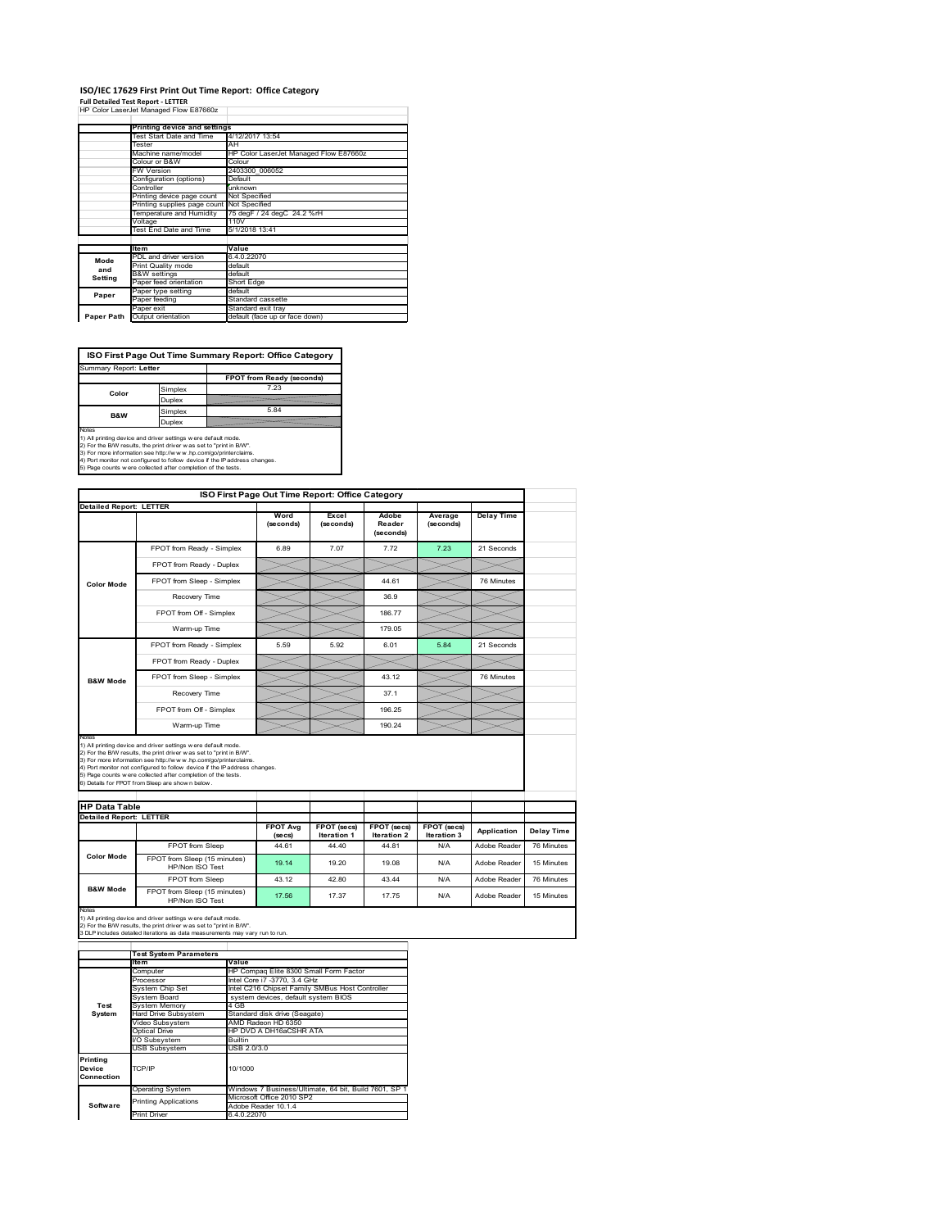### **ISO/IEC 17629 First Print Out Time Report: Office Category Full Detailed Test Report ‐ LETTER** HP Color LaserJet Managed Flow E87660z

| HP CONTLASSIVE Managed Flow E670002 |                                        |
|-------------------------------------|----------------------------------------|
|                                     |                                        |
| Printing device and settings        |                                        |
| Test Start Date and Time            | 4/12/2017 13:54                        |
| Tester                              | AH                                     |
| Machine name/model                  | HP Color LaserJet Managed Flow E87660z |
| Colour or B&W                       | Colour                                 |
| <b>FW Version</b>                   | 2403300 006052                         |
| Configuration (options)             | Default                                |
| Controller                          | unknown                                |
| Printing device page count          | Not Specified                          |

|            | <b>Filliting active hade comit</b>         | <b>HAOL ORGCHIGA</b>           |
|------------|--------------------------------------------|--------------------------------|
|            | Printing supplies page count Not Specified |                                |
|            | Temperature and Humidity                   | 75 degF / 24 degC 24.2 %rH     |
|            | Voltage                                    | 11 <sub>0</sub> V              |
|            | Test End Date and Time                     | 5/1/2018 13:41                 |
|            |                                            |                                |
|            | Item                                       | Value                          |
| Mode       | PDL and driver version                     | 6.4.0.22070                    |
| and        | <b>Print Quality mode</b>                  | default                        |
|            | <b>B&amp;W</b> settings                    | default                        |
| Setting    | Paper feed orientation                     | Short Edge                     |
| Paper      | Paper type setting                         | default                        |
|            | Paper feeding                              | Standard cassette              |
|            | Paper exit                                 | Standard exit trav             |
| Paper Path | Output orientation                         | default (face up or face down) |

**ISO First Page Out Time Summary Report: Office Category**

| Summary Report: Letter |         |                           |
|------------------------|---------|---------------------------|
|                        |         |                           |
|                        |         | FPOT from Ready (seconds) |
| Color                  | Simplex | 7.23                      |
|                        | Duplex  |                           |
| <b>B&amp;W</b>         | Simplex | 5.84                      |
|                        | Duplex  |                           |
| Notes                  |         |                           |

Notes<br>1) All printing device and driver settings were default mode.<br>2) For the BW results, the print driver was set to "print in BW".<br>3) For more information see http://www.hp.com/golprinterclaims.<br>4) Port montor not confi

|                                |                                                                                                                                                                                                                                                                                                                                                                                                             | ISO First Page Out Time Report: Office Category |                                          |                                   |                            |                   |
|--------------------------------|-------------------------------------------------------------------------------------------------------------------------------------------------------------------------------------------------------------------------------------------------------------------------------------------------------------------------------------------------------------------------------------------------------------|-------------------------------------------------|------------------------------------------|-----------------------------------|----------------------------|-------------------|
| <b>Detailed Report: LETTER</b> |                                                                                                                                                                                                                                                                                                                                                                                                             |                                                 |                                          |                                   |                            |                   |
|                                |                                                                                                                                                                                                                                                                                                                                                                                                             | Word<br>(seconds)                               | Excel<br>(seconds)                       | Adobe<br>Reader<br>(seconds)      | Average<br>(seconds)       | <b>Delay Time</b> |
|                                | FPOT from Ready - Simplex                                                                                                                                                                                                                                                                                                                                                                                   | 6.89                                            | 7.07                                     | 7.72                              | 7.23                       | 21 Seconds        |
|                                | FPOT from Ready - Duplex                                                                                                                                                                                                                                                                                                                                                                                    |                                                 |                                          |                                   |                            |                   |
| <b>Color Mode</b>              | FPOT from Sleep - Simplex                                                                                                                                                                                                                                                                                                                                                                                   |                                                 |                                          | 44.61                             |                            | 76 Minutes        |
|                                | Recovery Time                                                                                                                                                                                                                                                                                                                                                                                               |                                                 |                                          | 36.9                              |                            |                   |
|                                | FPOT from Off - Simplex                                                                                                                                                                                                                                                                                                                                                                                     |                                                 |                                          | 186.77                            |                            |                   |
|                                | Warm-up Time                                                                                                                                                                                                                                                                                                                                                                                                |                                                 |                                          | 179.05                            |                            |                   |
|                                | FPOT from Ready - Simplex                                                                                                                                                                                                                                                                                                                                                                                   | 5.59                                            | 5.92                                     | 6.01                              | 5.84                       | 21 Seconds        |
|                                | FPOT from Ready - Duplex                                                                                                                                                                                                                                                                                                                                                                                    |                                                 |                                          |                                   |                            |                   |
| <b>B&amp;W Mode</b>            | FPOT from Sleep - Simplex                                                                                                                                                                                                                                                                                                                                                                                   |                                                 |                                          | 43.12                             |                            | 76 Minutes        |
|                                |                                                                                                                                                                                                                                                                                                                                                                                                             |                                                 |                                          |                                   |                            |                   |
|                                | Recovery Time                                                                                                                                                                                                                                                                                                                                                                                               |                                                 |                                          | 37.1                              |                            |                   |
|                                | FPOT from Off - Simplex                                                                                                                                                                                                                                                                                                                                                                                     |                                                 |                                          | 196.25                            |                            |                   |
| Notes                          | Warm-up Time                                                                                                                                                                                                                                                                                                                                                                                                |                                                 |                                          | 190.24                            |                            |                   |
|                                | 1) All printing device and driver settings w ere default mode.<br>2) For the B/W results, the print driver was set to "print in B/W".<br>3) For more information see http://www.hp.com/go/printerclaims.<br>4) Port monitor not configured to follow device if the IP address changes.<br>5) Page counts w ere collected after completion of the tests.<br>6) Details for FPOT from Sleep are show n below. |                                                 |                                          |                                   |                            |                   |
| <b>HP Data Table</b>           |                                                                                                                                                                                                                                                                                                                                                                                                             |                                                 |                                          |                                   |                            |                   |
| <b>Detailed Report: LETTER</b> |                                                                                                                                                                                                                                                                                                                                                                                                             | <b>FPOT Ava</b><br>(se cs)                      | <b>FPOT</b> (secs)<br><b>Iteration 1</b> | <b>FPOT</b> (secs)<br>Iteration 2 | FPOT (secs)<br>Iteration 3 | Application       |
|                                | FPOT from Sleep                                                                                                                                                                                                                                                                                                                                                                                             | 44.61                                           | 44.40                                    | 44.81                             | N/A                        | Adobe Reader      |
| <b>Color Mode</b>              | FPOT from Sleep (15 minutes)<br>HP/Non ISO Test                                                                                                                                                                                                                                                                                                                                                             | 19.14                                           | 19.20                                    | 19.08                             | N/A                        | Adobe Reader      |
| <b>B&amp;W Mode</b>            | FPOT from Sleep                                                                                                                                                                                                                                                                                                                                                                                             | 43.12                                           | 42.80                                    | 43 44                             | N/A                        | Adobe Reader      |

1) All printing device and driver settings w ere default mode.<br>2) For the B/W results, the print driver w as set to "print in B/W".<br>3 DLP includes detailed iterations as data measurements may vary run to run.

|                                  | <b>Test System Parameters</b> |                                                       |  |  |  |
|----------------------------------|-------------------------------|-------------------------------------------------------|--|--|--|
|                                  | <b>Item</b>                   | Value                                                 |  |  |  |
|                                  | Computer                      | HP Compaq Elite 8300 Small Form Factor                |  |  |  |
|                                  | Processor                     | Intel Core i7 -3770, 3.4 GHz                          |  |  |  |
|                                  | System Chip Set               | Intel C216 Chipset Family SMBus Host Controller       |  |  |  |
|                                  | System Board                  | system devices, default system BIOS                   |  |  |  |
| Test                             | <b>System Memory</b>          | 4 GB                                                  |  |  |  |
| System                           | Hard Drive Subsystem          | Standard disk drive (Seagate)                         |  |  |  |
|                                  | Video Subsystem               | AMD Radeon HD 6350                                    |  |  |  |
|                                  | Optical Drive                 | HP DVD A DH16aCSHR ATA                                |  |  |  |
|                                  | I/O Subsvstem                 | <b>Builtin</b>                                        |  |  |  |
|                                  | <b>USB Subsystem</b>          | USB 2.0/3.0                                           |  |  |  |
| Printing<br>Device<br>Connection | TCP/IP                        | 10/1000                                               |  |  |  |
|                                  | <b>Operating System</b>       | Windows 7 Business/Ultimate, 64 bit, Build 7601, SP 1 |  |  |  |
|                                  |                               | Microsoft Office 2010 SP2                             |  |  |  |
| Software                         | <b>Printing Applications</b>  | Adobe Reader 10.1.4                                   |  |  |  |
|                                  | <b>Print Driver</b>           | 6.4.0.22070                                           |  |  |  |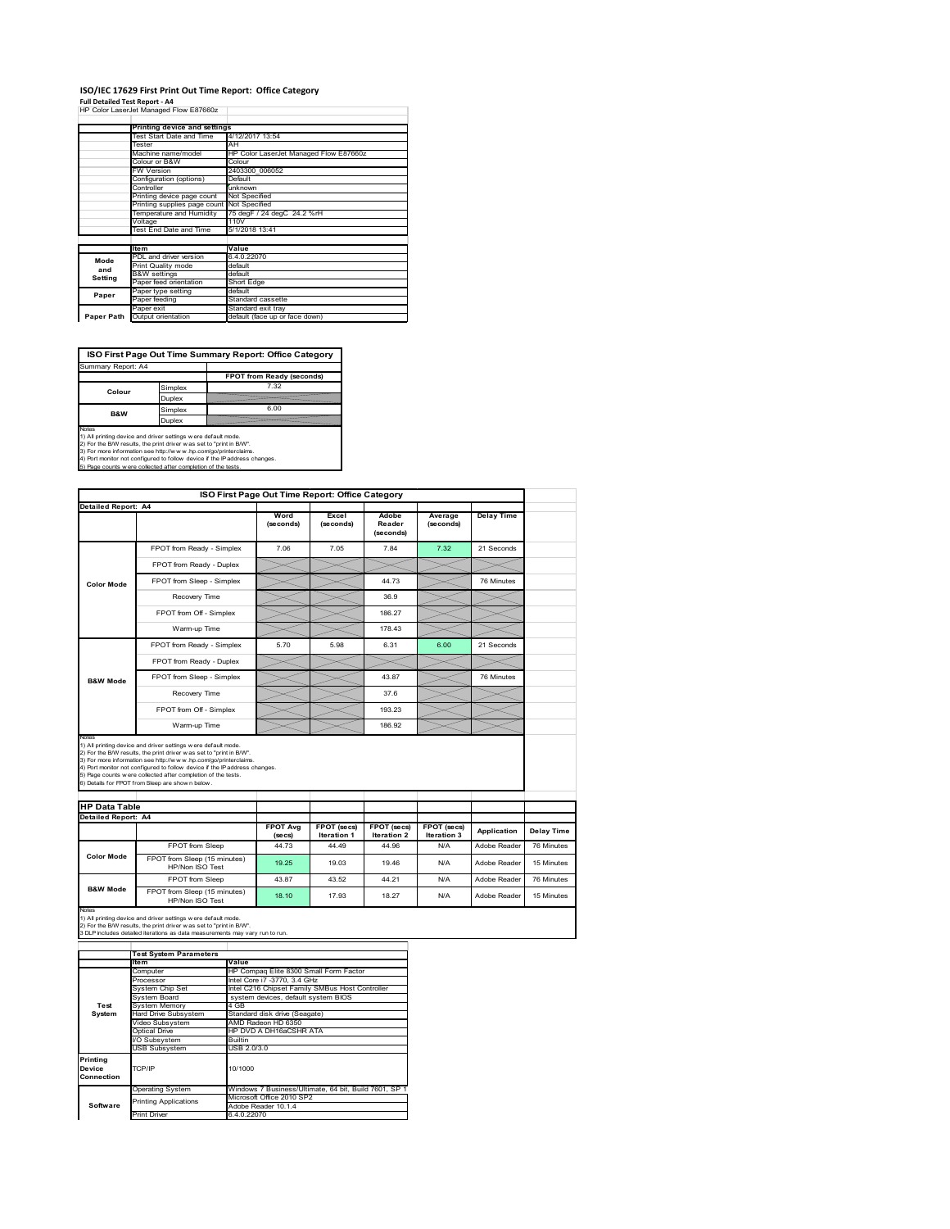# **ISO/IEC 17629 First Print Out Time Report: Office Category**

**Full Detailed Test Report ‐ A4** HP Color LaserJet Managed Flow E87660z

|            | Printing device and settings |                                        |
|------------|------------------------------|----------------------------------------|
|            | Test Start Date and Time     | 4/12/2017 13:54                        |
|            | Tester                       | AH                                     |
|            | Machine name/model           | HP Color LaserJet Managed Flow E87660z |
|            | Colour or B&W                | Colour                                 |
|            | FW Version                   | 2403300 006052                         |
|            | Configuration (options)      | Default                                |
|            | Controller                   | unknown                                |
|            | Printing device page count   | Not Specified                          |
|            | Printing supplies page count | Not Specified                          |
|            | Temperature and Humidity     | 75 degF / 24 degC 24.2 %rH             |
|            | Voltage                      | 110V                                   |
|            | Test End Date and Time       | 5/1/2018 13:41                         |
|            |                              |                                        |
|            | <b>Item</b>                  | Value                                  |
| Mode       | PDL and driver version       | 6.4.0.22070                            |
| and        | Print Quality mode           | default                                |
| Setting    | <b>B&amp;W</b> settings      | default                                |
|            | Paper feed orientation       | Short Edge                             |
| Paper      | Paper type setting           | default                                |
|            | Paper feeding                | Standard cassette                      |
|            | Paper exit                   | Standard exit tray                     |
| Paper Path | Output orientation           | default (face up or face down)         |

**ISO First Page Out Time Summary Report: Office Category**

| Summary Report: A4 |         |                           |
|--------------------|---------|---------------------------|
|                    |         | FPOT from Ready (seconds) |
| Colour             | Simplex | 7.32                      |
|                    | Duplex  |                           |
| <b>B&amp;W</b>     | Simplex | 6.00                      |
|                    | Duplex  |                           |
|                    |         |                           |

Notes<br>1) All printing device and driver settings were default mode.<br>2) For the BAV results, the print driver was set to "print in BAV".<br>3) For more information see http://www.hp.com/golprinterclaims.<br>4) Port monitor not co

| ISO First Page Out Time Report: Office Category             |                                                                                                                                                                                                                                                                                                                                                                                                             |                   |                             |                              |                           |                   |                          |
|-------------------------------------------------------------|-------------------------------------------------------------------------------------------------------------------------------------------------------------------------------------------------------------------------------------------------------------------------------------------------------------------------------------------------------------------------------------------------------------|-------------------|-----------------------------|------------------------------|---------------------------|-------------------|--------------------------|
| Detailed Report: A4                                         |                                                                                                                                                                                                                                                                                                                                                                                                             | Word<br>(seconds) | Excel<br>(seconds)          | Adobe<br>Reader<br>(seconds) | Average<br>(seconds)      | <b>Delay Time</b> |                          |
|                                                             | FPOT from Ready - Simplex                                                                                                                                                                                                                                                                                                                                                                                   | 7.06              | 7.05                        | 784                          | 7.32                      | 21 Seconds        |                          |
|                                                             | FPOT from Ready - Duplex                                                                                                                                                                                                                                                                                                                                                                                    |                   |                             |                              |                           |                   |                          |
| <b>Color Mode</b>                                           | FPOT from Sleep - Simplex                                                                                                                                                                                                                                                                                                                                                                                   |                   |                             | 44.73                        |                           | 76 Minutes        |                          |
|                                                             | Recovery Time                                                                                                                                                                                                                                                                                                                                                                                               |                   |                             | 36.9                         |                           |                   |                          |
|                                                             | FPOT from Off - Simplex                                                                                                                                                                                                                                                                                                                                                                                     |                   |                             | 186.27                       |                           |                   |                          |
|                                                             | Warm-up Time                                                                                                                                                                                                                                                                                                                                                                                                |                   |                             | 178.43                       |                           |                   |                          |
|                                                             | FPOT from Ready - Simplex                                                                                                                                                                                                                                                                                                                                                                                   | 5.70              | 5.98                        | 6.31                         | 6.00                      | 21 Seconds        |                          |
|                                                             | FPOT from Ready - Duplex                                                                                                                                                                                                                                                                                                                                                                                    |                   |                             |                              |                           |                   |                          |
| <b>B&amp;W Mode</b>                                         | FPOT from Sleep - Simplex                                                                                                                                                                                                                                                                                                                                                                                   |                   |                             | 43.87                        |                           | 76 Minutes        |                          |
|                                                             | Recovery Time                                                                                                                                                                                                                                                                                                                                                                                               |                   |                             | 37.6                         |                           |                   |                          |
|                                                             |                                                                                                                                                                                                                                                                                                                                                                                                             |                   |                             |                              |                           |                   |                          |
|                                                             | FPOT from Off - Simplex                                                                                                                                                                                                                                                                                                                                                                                     |                   |                             | 193.23                       |                           |                   |                          |
|                                                             | Warm-up Time                                                                                                                                                                                                                                                                                                                                                                                                |                   |                             | 186.92                       |                           |                   |                          |
| Notes<br><b>HP Data Table</b><br><b>Detailed Report: A4</b> | 1) All printing device and driver settings w ere default mode.<br>2) For the B/W results, the print driver was set to "print in B/W".<br>3) For more information see http://www.hp.com/go/printerclaims.<br>4) Port monitor not configured to follow device if the IP address changes.<br>5) Page counts w ere collected after completion of the tests.<br>6) Details for FPOT from Sleep are show n below. | <b>FPOT Avg</b>   | FPOT (secs)                 | FPOT (secs)                  | FPOT (secs)               | Application       |                          |
|                                                             | FPOT from Sleep                                                                                                                                                                                                                                                                                                                                                                                             | (se cs)<br>44 73  | <b>Iteration 1</b><br>44 49 | <b>Iteration 2</b><br>44.96  | <b>Iteration 3</b><br>N/A | Adobe Reader      | Delay Time<br>76 Minutes |
| <b>Color Mode</b>                                           | FPOT from Sleep (15 minutes)<br>HP/Non ISO Test                                                                                                                                                                                                                                                                                                                                                             | 19.25             | 19.03                       | 19.46                        | N/A                       | Adobe Reader      | 15 Minutes               |
| <b>B&amp;W Mode</b>                                         | FPOT from Sleep                                                                                                                                                                                                                                                                                                                                                                                             | 43.87             | 43.52                       | 44 21                        | N/A                       | Adobe Reader      | 76 Minutes               |

|                    | <b>Test System Parameters</b> |                                                       |  |  |  |
|--------------------|-------------------------------|-------------------------------------------------------|--|--|--|
|                    | lte m                         | Value                                                 |  |  |  |
|                    | Computer                      | HP Compag Elite 8300 Small Form Factor                |  |  |  |
|                    | Processor                     | Intel Core i7 -3770, 3.4 GHz                          |  |  |  |
|                    | System Chip Set               | Intel C216 Chipset Family SMBus Host Controller       |  |  |  |
|                    | System Board                  | system devices, default system BIOS                   |  |  |  |
| Test               | <b>System Memory</b>          | 4 GB                                                  |  |  |  |
| System             | <b>Hard Drive Subsystem</b>   | Standard disk drive (Seagate)                         |  |  |  |
|                    | Video Subsystem               | AMD Radeon HD 6350                                    |  |  |  |
|                    | Optical Drive                 | HP DVD A DH16aCSHR ATA                                |  |  |  |
|                    | I/O Subsystem                 | <b>Builtin</b>                                        |  |  |  |
|                    | <b>USB Subsystem</b>          | USB 2.0/3.0                                           |  |  |  |
| Printing<br>Device | TCP/IP                        | 10/1000                                               |  |  |  |
| Connection         |                               |                                                       |  |  |  |
|                    | <b>Operating System</b>       | Windows 7 Business/Ultimate, 64 bit, Build 7601, SP 1 |  |  |  |
|                    | <b>Printing Applications</b>  | Microsoft Office 2010 SP2                             |  |  |  |
| Software           |                               | Adobe Reader 10.1.4                                   |  |  |  |
|                    | <b>Print Driver</b>           | 6.4.0.22070                                           |  |  |  |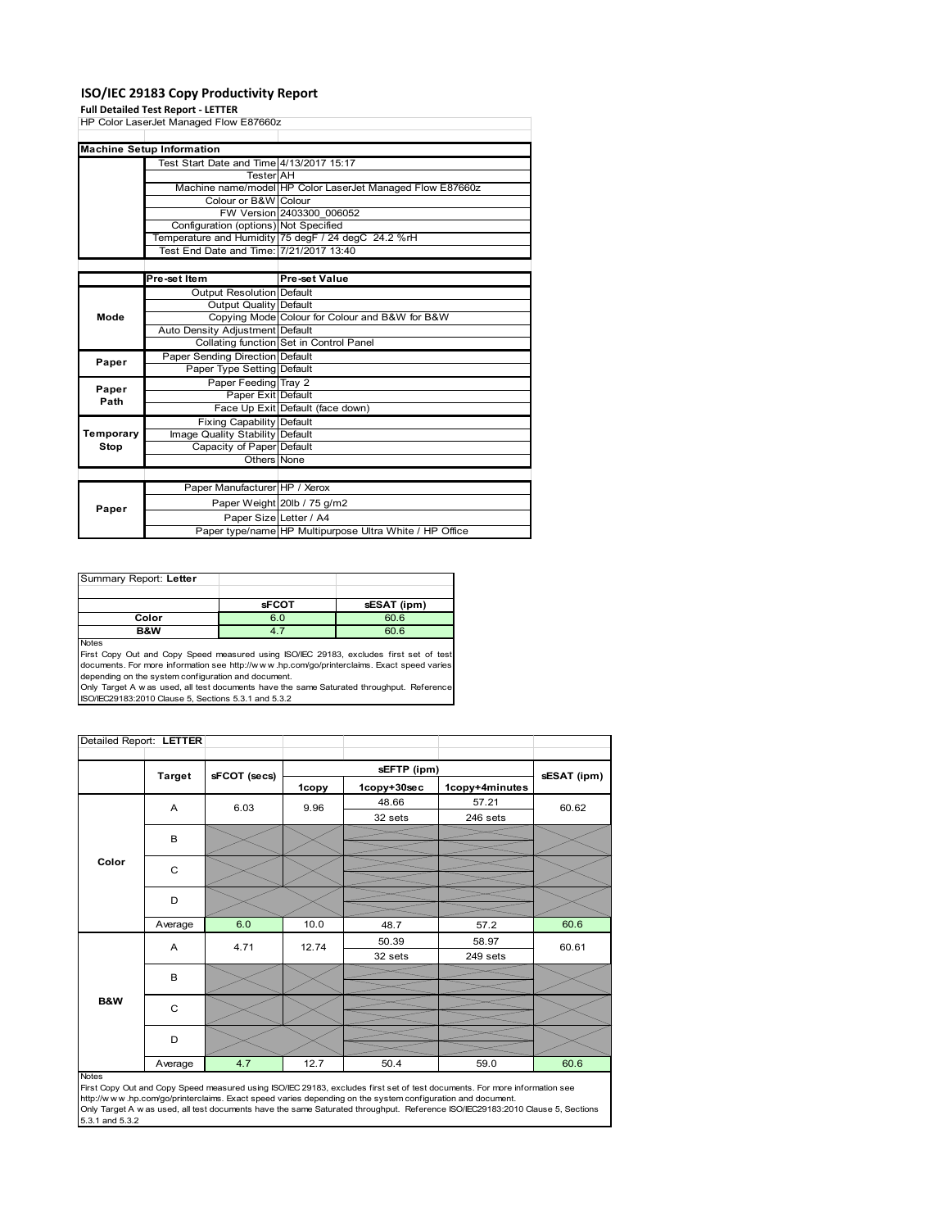### **ISO/IEC 29183 Copy Productivity Report**

#### **Full Detailed Test Report ‐ LETTER**

| HP Color LaserJet Managed Flow E87660z   |                                         |                                                           |  |  |
|------------------------------------------|-----------------------------------------|-----------------------------------------------------------|--|--|
|                                          |                                         |                                                           |  |  |
|                                          | <b>Machine Setup Information</b>        |                                                           |  |  |
| Test Start Date and Time 4/13/2017 15:17 |                                         |                                                           |  |  |
|                                          | <b>Tester</b> AH                        |                                                           |  |  |
|                                          |                                         | Machine name/model HP Color LaserJet Managed Flow E87660z |  |  |
|                                          | Colour or B&W Colour                    |                                                           |  |  |
|                                          |                                         | FW Version 2403300 006052                                 |  |  |
|                                          | Configuration (options) Not Specified   |                                                           |  |  |
|                                          |                                         | Temperature and Humidity 75 degF / 24 degC 24.2 %rH       |  |  |
|                                          | Test End Date and Time: 7/21/2017 13:40 |                                                           |  |  |
|                                          |                                         |                                                           |  |  |
|                                          | Pre-set Item                            | <b>Pre-set Value</b>                                      |  |  |
|                                          | Output Resolution Default               |                                                           |  |  |
|                                          | Output Quality Default                  |                                                           |  |  |
| Mode                                     |                                         | Copying Mode Colour for Colour and B&W for B&W            |  |  |
|                                          | Auto Density Adjustment Default         |                                                           |  |  |
|                                          |                                         | Collating function Set in Control Panel                   |  |  |
| Paper                                    | Paper Sending Direction Default         |                                                           |  |  |
|                                          | Paper Type Setting Default              |                                                           |  |  |
| Paper                                    | Paper Feeding Tray 2                    |                                                           |  |  |
| Path                                     | Paper Exit Default                      |                                                           |  |  |
|                                          |                                         | Face Up Exit Default (face down)                          |  |  |
|                                          | <b>Fixing Capability Default</b>        |                                                           |  |  |
| Temporary                                | Image Quality Stability Default         |                                                           |  |  |
| Stop                                     | Capacity of Paper Default               |                                                           |  |  |
|                                          | Others None                             |                                                           |  |  |
|                                          |                                         |                                                           |  |  |
|                                          | Paper Manufacturer HP / Xerox           |                                                           |  |  |
|                                          |                                         | Paper Weight 20lb / 75 g/m2                               |  |  |
| Paper                                    | Paper Size Letter / A4                  |                                                           |  |  |
|                                          |                                         | Paper type/name HP Multipurpose Ultra White / HP Office   |  |  |

| Summary Report: Letter |              |             |
|------------------------|--------------|-------------|
|                        |              |             |
|                        | <b>sFCOT</b> | sESAT (ipm) |
| Color                  | 6.0          | 60.6        |
| B&W                    |              | 60.6        |
| <b>Noton</b>           |              |             |

Notes<br>First Copy Out and Copy Speed measured using ISO/IEC 29183, excludes first set of test<br>documents. For more information see http://www..hp.com/go/printerclaims. Exact speed varies

depending on the system configuration and document.<br>Only Target A w as used, all test documents have the same Saturated throughput. Reference<br>ISO/IEC29183:2010 Clause 5, Sections 5.3.1 and 5.3.2

| Detailed Report: LETTER |                |              |       |             |                |             |
|-------------------------|----------------|--------------|-------|-------------|----------------|-------------|
|                         | <b>Target</b>  | sFCOT (secs) |       | sEFTP (ipm) |                | sESAT (ipm) |
|                         |                |              | 1copy | 1copy+30sec | 1copy+4minutes |             |
|                         | $\overline{A}$ | 6.03         | 9.96  | 48.66       | 57.21          | 60.62       |
|                         |                |              |       | 32 sets     | 246 sets       |             |
|                         | B              |              |       |             |                |             |
|                         |                |              |       |             |                |             |
| Color                   | C              |              |       |             |                |             |
|                         |                |              |       |             |                |             |
|                         | D              |              |       |             |                |             |
|                         | Average        | 6.0          | 10.0  | 48.7        | 57.2           | 60.6        |
|                         | Α              | 4.71         | 12.74 | 50.39       | 58.97          | 60.61       |
|                         |                |              |       | 32 sets     | 249 sets       |             |
|                         | B              |              |       |             |                |             |
|                         |                |              |       |             |                |             |
| B&W                     | C              |              |       |             |                |             |
|                         |                |              |       |             |                |             |
|                         | D              |              |       |             |                |             |
|                         | Average        | 4.7          | 12.7  | 50.4        | 59.0           | 60.6        |

#### Notes

First Copy Out and Copy Speed measured using ISO/IEC 29183, excludes first set of test documents. For more information see<br>http://w w w.hp.com/go/printerclaims. Exact speed varies depending on the system configuration and 5.3.1 and 5.3.2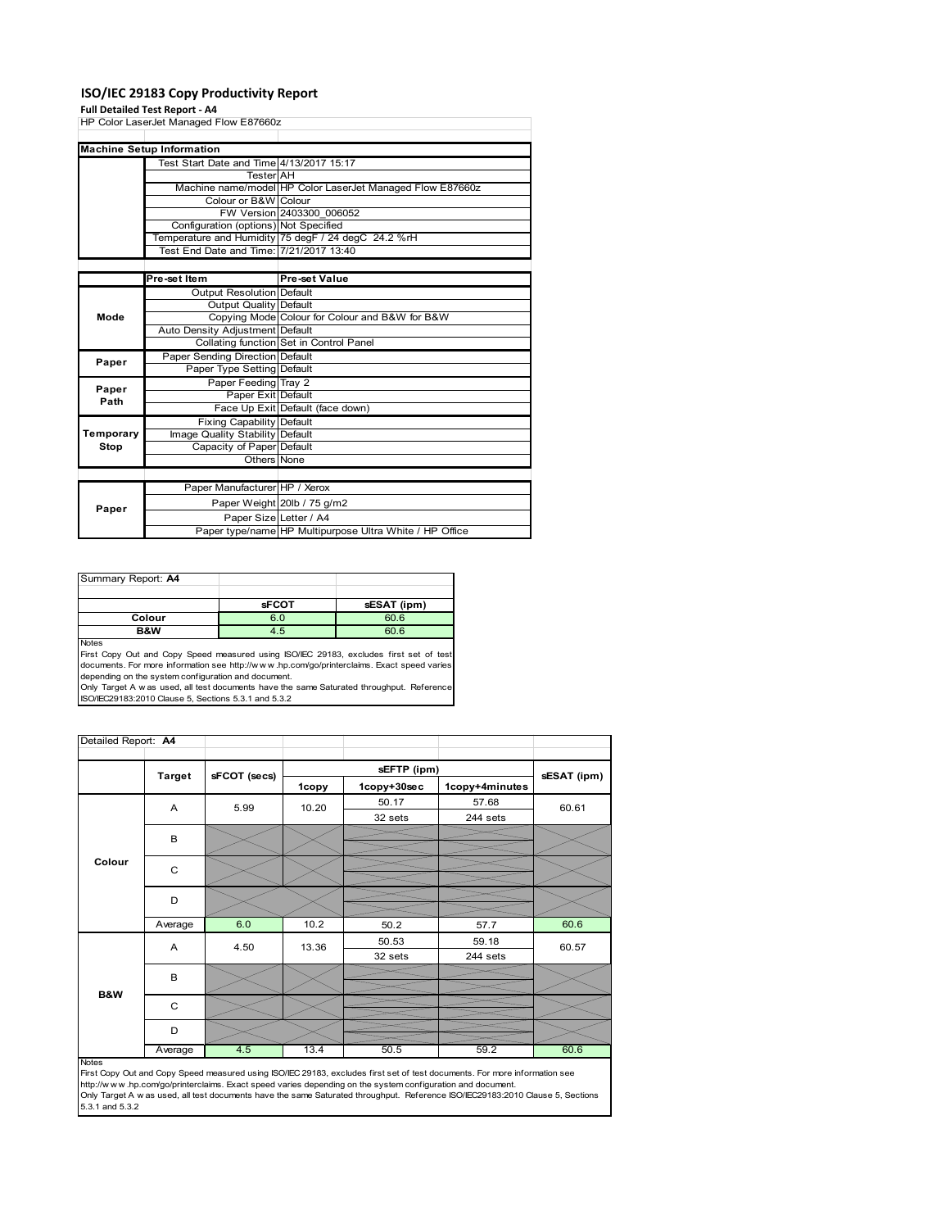### **ISO/IEC 29183 Copy Productivity Report**

#### **Full Detailed Test Report ‐ A4**

| HP Color LaserJet Managed Flow E87660z |                                          |                                                           |  |  |
|----------------------------------------|------------------------------------------|-----------------------------------------------------------|--|--|
|                                        |                                          |                                                           |  |  |
|                                        | <b>Machine Setup Information</b>         |                                                           |  |  |
|                                        | Test Start Date and Time 4/13/2017 15:17 |                                                           |  |  |
|                                        | <b>Tester</b> AH                         |                                                           |  |  |
|                                        |                                          | Machine name/model HP Color LaserJet Managed Flow E87660z |  |  |
|                                        | Colour or B&W Colour                     |                                                           |  |  |
|                                        |                                          | FW Version 2403300 006052                                 |  |  |
|                                        | Configuration (options) Not Specified    |                                                           |  |  |
|                                        |                                          | Temperature and Humidity 75 degF / 24 degC 24.2 %rH       |  |  |
|                                        | Test End Date and Time: 7/21/2017 13:40  |                                                           |  |  |
|                                        |                                          |                                                           |  |  |
|                                        | Pre-set Item                             | <b>Pre-set Value</b>                                      |  |  |
|                                        | <b>Output Resolution Default</b>         |                                                           |  |  |
|                                        | Output Quality Default                   |                                                           |  |  |
| Mode                                   |                                          | Copying Mode Colour for Colour and B&W for B&W            |  |  |
|                                        | Auto Density Adjustment Default          |                                                           |  |  |
|                                        |                                          | Collating function Set in Control Panel                   |  |  |
| Paper                                  | Paper Sending Direction Default          |                                                           |  |  |
|                                        | Paper Type Setting Default               |                                                           |  |  |
| Paper                                  | Paper Feeding Tray 2                     |                                                           |  |  |
| Path                                   | Paper Exit Default                       |                                                           |  |  |
|                                        |                                          | Face Up Exit Default (face down)                          |  |  |
|                                        | <b>Fixing Capability Default</b>         |                                                           |  |  |
| Temporary                              | Image Quality Stability Default          |                                                           |  |  |
| Stop                                   | Capacity of Paper Default                |                                                           |  |  |
|                                        | Others None                              |                                                           |  |  |
|                                        |                                          |                                                           |  |  |
|                                        | Paper Manufacturer HP / Xerox            |                                                           |  |  |
| Paper                                  |                                          | Paper Weight 20lb / 75 g/m2                               |  |  |
|                                        | Paper Size Letter / A4                   |                                                           |  |  |
|                                        |                                          | Paper type/name HP Multipurpose Ultra White / HP Office   |  |  |

| Summary Report: A4 |              |             |
|--------------------|--------------|-------------|
|                    |              |             |
|                    | <b>sFCOT</b> | sESAT (ipm) |
| Colour             | 6.0          | 60.6        |
| B&W                | 4.5          | 60.6        |
| .                  |              |             |

Notes<br>First Copy Out and Copy Speed measured using ISO/IEC 29183, excludes first set of test<br>documents. For more information see http://www.hp.com/go/printerclaims. Exact speed varies<br>depending on the system configuration

| Detailed Report: A4 |               |              |       |             |                |             |
|---------------------|---------------|--------------|-------|-------------|----------------|-------------|
|                     |               |              |       | sEFTP (ipm) |                |             |
|                     | <b>Target</b> | sFCOT (secs) | 1copy | 1copy+30sec | 1copy+4minutes | sESAT (ipm) |
|                     | Α             | 5.99         | 10.20 | 50.17       | 57.68          | 60.61       |
|                     |               |              |       | 32 sets     | 244 sets       |             |
|                     | B             |              |       |             |                |             |
|                     |               |              |       |             |                |             |
| Colour              | $\mathsf{C}$  |              |       |             |                |             |
|                     |               |              |       |             |                |             |
|                     | D             |              |       |             |                |             |
|                     |               |              |       |             |                |             |
|                     | Average       | 6.0          | 10.2  | 50.2        | 57.7           | 60.6        |
|                     | A             | 4.50         | 13.36 | 50.53       | 59.18          | 60.57       |
|                     |               |              |       | 32 sets     | 244 sets       |             |
|                     | B             |              |       |             |                |             |
| <b>B&amp;W</b>      |               |              |       |             |                |             |
|                     | C             |              |       |             |                |             |
|                     |               |              |       |             |                |             |
|                     | D             |              |       |             |                |             |
|                     | Average       | 4.5          | 13.4  | 50.5        | 59.2           | 60.6        |

Average 4.5 13.4 50.5 59.2 60.6<br>
First Copy Out and Copy Speed measured using ISO/IEC 29183, excludes first set of test documents. For more information see<br>
First://www.hp.com/go/printerclaims. Exact speed varies depending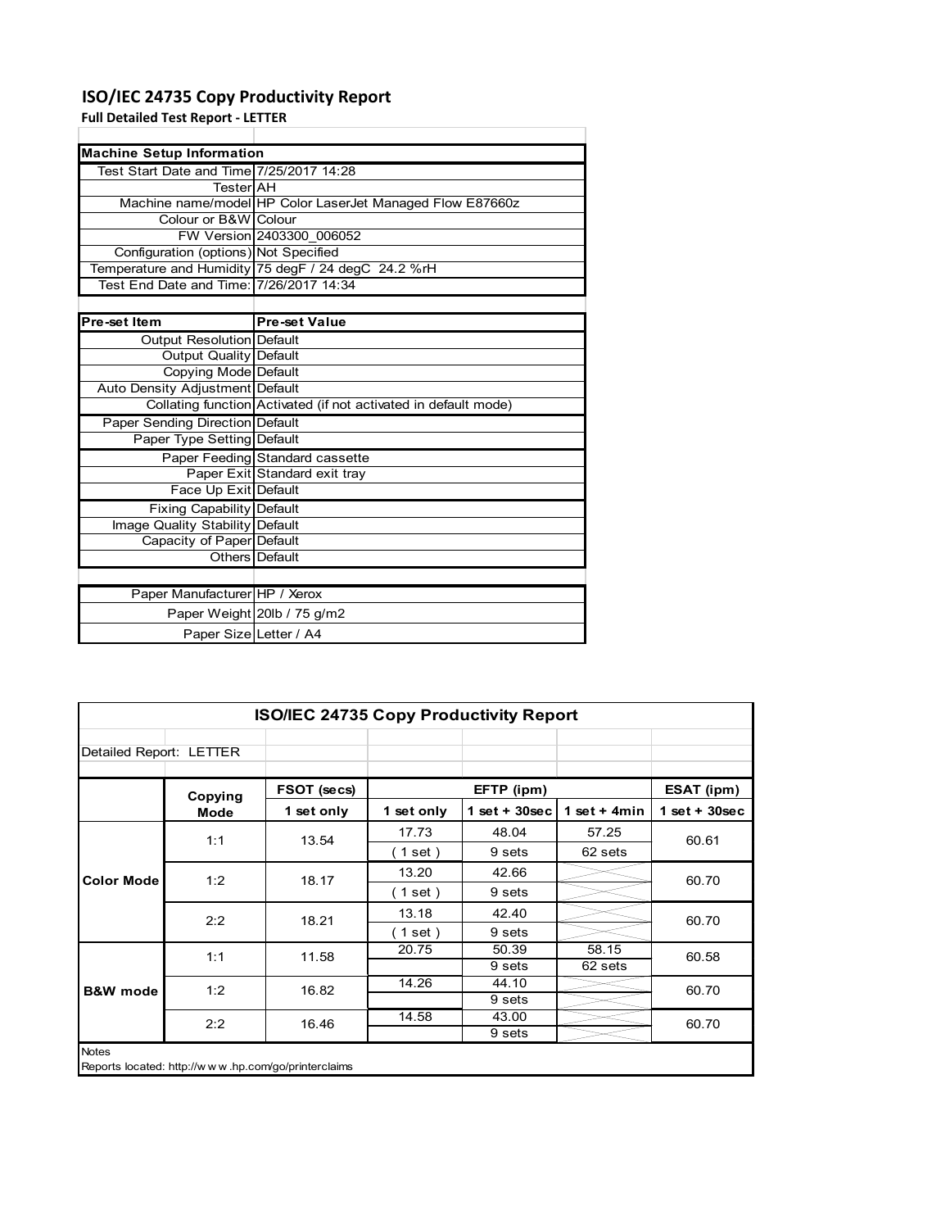## **ISO/IEC 24735 Copy Productivity Report**

Paper Size Letter / A4

**Full Detailed Test Report ‐ LETTER**

| <b>Machine Setup Information</b>         |                                                                 |  |  |  |
|------------------------------------------|-----------------------------------------------------------------|--|--|--|
| Test Start Date and Time 7/25/2017 14:28 |                                                                 |  |  |  |
| TesterlAH                                |                                                                 |  |  |  |
|                                          | Machine name/model HP Color LaserJet Managed Flow E87660z       |  |  |  |
| Colour or B&W Colour                     |                                                                 |  |  |  |
|                                          | FW Version 2403300 006052                                       |  |  |  |
| Configuration (options) Not Specified    |                                                                 |  |  |  |
|                                          | Temperature and Humidity 75 degF / 24 degC 24.2 %rH             |  |  |  |
| Test End Date and Time: 7/26/2017 14:34  |                                                                 |  |  |  |
|                                          |                                                                 |  |  |  |
| Pre-set Item                             | <b>Pre-set Value</b>                                            |  |  |  |
| Output Resolution Default                |                                                                 |  |  |  |
| Output Quality Default                   |                                                                 |  |  |  |
| Copying Mode Default                     |                                                                 |  |  |  |
| Auto Density Adjustment Default          |                                                                 |  |  |  |
|                                          | Collating function Activated (if not activated in default mode) |  |  |  |
| Paper Sending Direction Default          |                                                                 |  |  |  |
| Paper Type Setting Default               |                                                                 |  |  |  |
|                                          | Paper Feeding Standard cassette                                 |  |  |  |
|                                          | Paper Exit Standard exit tray                                   |  |  |  |
| Face Up Exit Default                     |                                                                 |  |  |  |
| Fixing Capability Default                |                                                                 |  |  |  |
| Image Quality Stability Default          |                                                                 |  |  |  |
| Capacity of Paper Default                |                                                                 |  |  |  |
|                                          | Others Default                                                  |  |  |  |
|                                          |                                                                 |  |  |  |
| Paper Manufacturer HP / Xerox            |                                                                 |  |  |  |
|                                          | Paper Weight 20lb / 75 g/m2                                     |  |  |  |

| ISO/IEC 24735 Copy Productivity Report                              |             |             |            |                 |                |                 |  |  |
|---------------------------------------------------------------------|-------------|-------------|------------|-----------------|----------------|-----------------|--|--|
| Detailed Report: LETTER                                             |             |             |            |                 |                |                 |  |  |
|                                                                     | Copying     | FSOT (secs) |            | EFTP (ipm)      |                | ESAT (ipm)      |  |  |
|                                                                     | <b>Mode</b> | 1 set only  | 1 set only | $1$ set + 30sec | 1 set $+$ 4min | $1$ set + 30sec |  |  |
|                                                                     | 1:1         | 13.54       | 17.73      | 48.04           | 57.25          | 60.61           |  |  |
| <b>Color Mode</b>                                                   |             |             | (1 set )   | 9 sets          | 62 sets        |                 |  |  |
|                                                                     | 1:2         | 18.17       | 13.20      | 42.66           |                | 60.70           |  |  |
|                                                                     |             |             | (1 set)    | 9 sets          |                |                 |  |  |
|                                                                     | 2:2         | 18.21       | 13.18      | 42.40           |                | 60.70           |  |  |
|                                                                     |             |             | (1 set)    | 9 sets          |                |                 |  |  |
|                                                                     | 1:1         | 11.58       | 20.75      | 50.39           | 58.15          | 60.58           |  |  |
|                                                                     |             |             |            | 9 sets          | 62 sets        |                 |  |  |
| <b>B&amp;W</b> mode                                                 | 1:2         | 16.82       | 14.26      | 44.10           |                | 60.70           |  |  |
|                                                                     |             |             |            | 9 sets          |                |                 |  |  |
|                                                                     | 2:2         | 16.46       | 14.58      | 43.00           |                | 60.70           |  |  |
|                                                                     |             |             |            | 9 sets          |                |                 |  |  |
| <b>Notes</b><br>Reports located: http://www.hp.com/go/printerclaims |             |             |            |                 |                |                 |  |  |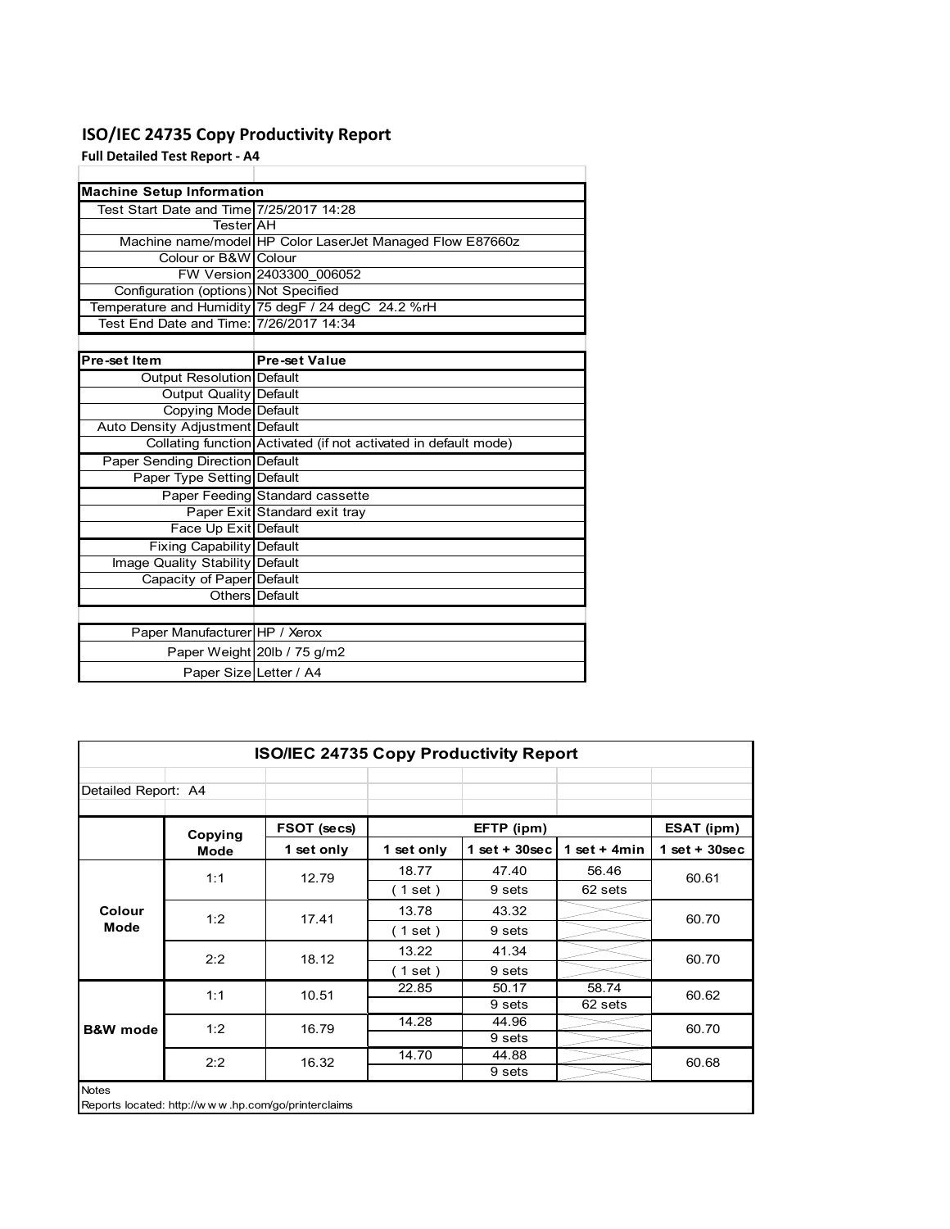# **ISO/IEC 24735 Copy Productivity Report**

**Full Detailed Test Report ‐ A4**

| <b>Machine Setup Information</b>         |                                                                 |
|------------------------------------------|-----------------------------------------------------------------|
| Test Start Date and Time 7/25/2017 14:28 |                                                                 |
| TesterlAH                                |                                                                 |
|                                          | Machine name/model HP Color LaserJet Managed Flow E87660z       |
| Colour or B&W Colour                     |                                                                 |
|                                          | FW Version 2403300 006052                                       |
| Configuration (options) Not Specified    |                                                                 |
|                                          | Temperature and Humidity 75 degF / 24 degC 24.2 %rH             |
| Test End Date and Time: 7/26/2017 14:34  |                                                                 |
|                                          |                                                                 |
| Pre-set Item                             | <b>Pre-set Value</b>                                            |
| Output Resolution Default                |                                                                 |
| <b>Output Quality Default</b>            |                                                                 |
| Copying Mode Default                     |                                                                 |
| Auto Density Adjustment Default          |                                                                 |
|                                          | Collating function Activated (if not activated in default mode) |
| <b>Paper Sending Direction Default</b>   |                                                                 |
| Paper Type Setting Default               |                                                                 |
|                                          | Paper Feeding Standard cassette                                 |
|                                          | Paper Exit Standard exit tray                                   |
| Face Up Exit Default                     |                                                                 |
| <b>Fixing Capability Default</b>         |                                                                 |
| Image Quality Stability Default          |                                                                 |
| Capacity of Paper Default                |                                                                 |
|                                          | Others Default                                                  |
|                                          |                                                                 |
| Paper Manufacturer HP / Xerox            |                                                                 |
|                                          | Paper Weight 20lb / 75 g/m2                                     |
| Paper Size Letter / A4                   |                                                                 |

| <b>ISO/IEC 24735 Copy Productivity Report</b>                       |             |             |            |                 |                 |                 |  |
|---------------------------------------------------------------------|-------------|-------------|------------|-----------------|-----------------|-----------------|--|
| Detailed Report: A4                                                 |             |             |            |                 |                 |                 |  |
|                                                                     | Copying     | FSOT (secs) |            | EFTP (ipm)      |                 | ESAT (ipm)      |  |
|                                                                     | <b>Mode</b> | 1 set only  | 1 set only | $1$ set + 30sec | 1 set + 4 $min$ | $1$ set + 30sec |  |
|                                                                     | 1:1         | 12.79       | 18.77      | 47.40           | 56.46           | 60.61           |  |
| Colour                                                              |             |             | (1 set)    | 9 sets          | 62 sets         |                 |  |
|                                                                     | 1:2         | 17.41       | 13.78      | 43.32           |                 | 60.70           |  |
| <b>Mode</b>                                                         |             |             | (1 set)    | 9 sets          |                 |                 |  |
|                                                                     | 2:2         | 18.12       | 13.22      | 41.34           |                 | 60.70           |  |
|                                                                     |             |             | (1 set)    | 9 sets          |                 |                 |  |
|                                                                     | 1:1         | 10.51       | 22.85      | 50.17           | 58.74           | 60.62           |  |
|                                                                     |             |             |            | 9 sets          | 62 sets         |                 |  |
| <b>B&amp;W</b> mode                                                 | 1:2         | 16.79       | 14.28      | 44.96           |                 | 60.70           |  |
|                                                                     |             |             |            | 9 sets          |                 |                 |  |
|                                                                     | 2:2         | 16.32       | 14.70      | 44.88           |                 | 60.68           |  |
|                                                                     |             |             |            | 9 sets          |                 |                 |  |
| <b>Notes</b><br>Reports located: http://www.hp.com/go/printerclaims |             |             |            |                 |                 |                 |  |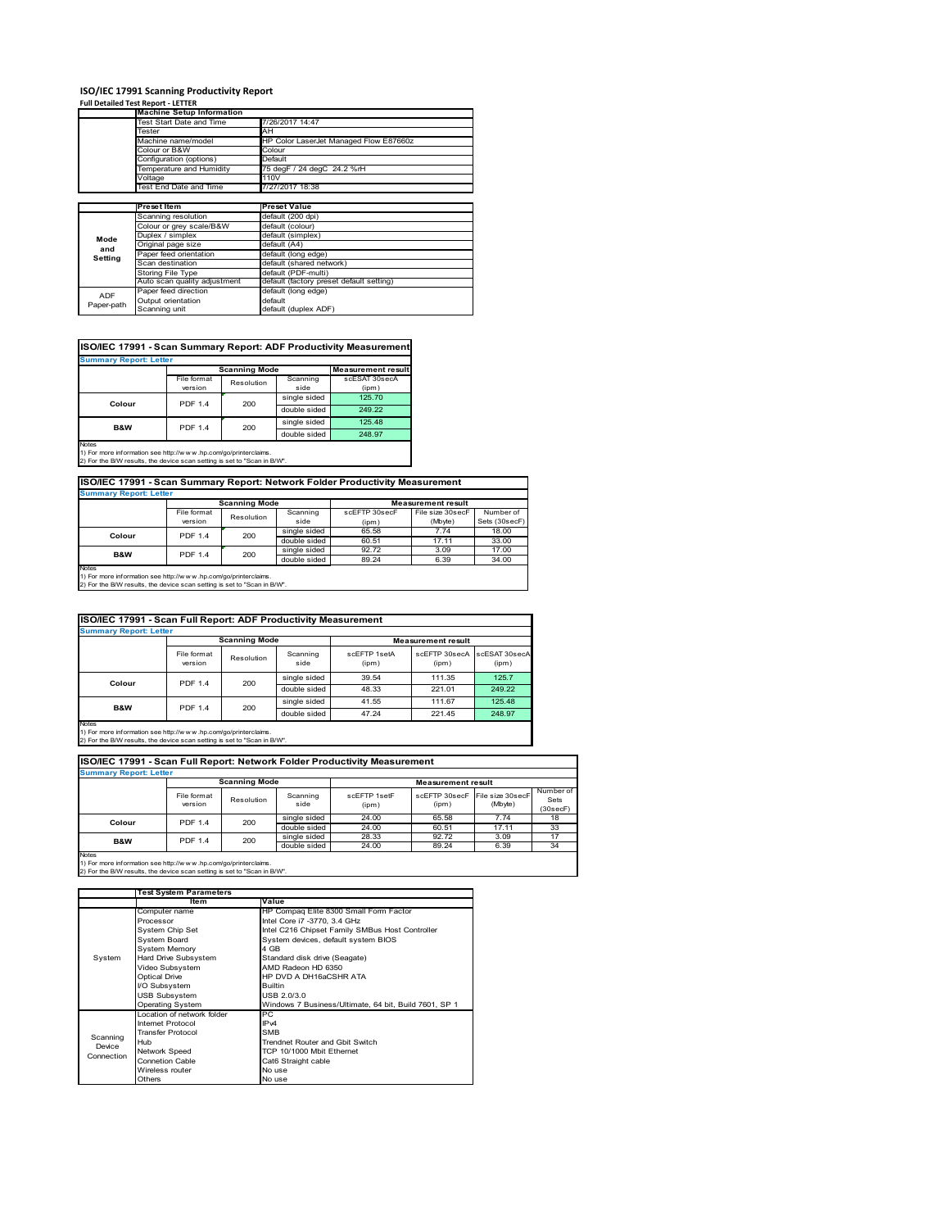# **ISO/IEC 17991 Scanning Productivity Report Full Detailed Test Report ‐ LETTER Machine Setup Information**

|            | <b>Machine Setup Information</b> |                                          |  |  |  |
|------------|----------------------------------|------------------------------------------|--|--|--|
|            | Test Start Date and Time         | 7/26/2017 14:47                          |  |  |  |
|            | Tester                           | AH                                       |  |  |  |
|            | Machine name/model               | HP Color LaserJet Managed Flow E87660z   |  |  |  |
|            | Colour or B&W                    | Colour                                   |  |  |  |
|            | Configuration (options)          | Default                                  |  |  |  |
|            | Temperature and Humidity         | 75 degF / 24 degC 24.2 %rH               |  |  |  |
|            | Voltage                          | 110V                                     |  |  |  |
|            | Test End Date and Time           | 7/27/2017 18:38                          |  |  |  |
|            |                                  |                                          |  |  |  |
|            | Preset Item                      | <b>Preset Value</b>                      |  |  |  |
|            | Scanning resolution              | default (200 dpi)                        |  |  |  |
|            | Colour or grey scale/B&W         | default (colour)                         |  |  |  |
| Mode       | Duplex / simplex                 | default (simplex)                        |  |  |  |
| and        | Original page size               | default (A4)                             |  |  |  |
|            | Paper feed orientation           | default (long edge)                      |  |  |  |
| Setting    | Scan destination                 | default (shared network)                 |  |  |  |
|            | Storing File Type                | default (PDF-multi)                      |  |  |  |
|            | Auto scan quality adjustment     | default (factory preset default setting) |  |  |  |
| <b>ADF</b> | Paper feed direction             | default (long edge)                      |  |  |  |
|            | Output orientation               | default                                  |  |  |  |
| Paper-path | Scanning unit                    | default (duplex ADF)                     |  |  |  |

|                               |                |                      |              | ISO/IEC 17991 - Scan Summary Report: ADF Productivity Measurement |  |  |  |
|-------------------------------|----------------|----------------------|--------------|-------------------------------------------------------------------|--|--|--|
| <b>Summary Report: Letter</b> |                |                      |              |                                                                   |  |  |  |
|                               |                | <b>Scanning Mode</b> |              | <b>Measurement result</b>                                         |  |  |  |
|                               | File format    | Resolution           | Scanning     | scESAT 30secA                                                     |  |  |  |
|                               | version        |                      | side         | (ipm)                                                             |  |  |  |
| Colour                        | <b>PDF 1.4</b> | 200                  | single sided | 125.70                                                            |  |  |  |
|                               |                |                      | double sided | 249.22                                                            |  |  |  |
| <b>B&amp;W</b>                | <b>PDF 1.4</b> | 200                  | single sided | 125.48                                                            |  |  |  |
|                               |                |                      | double sided | 248.97                                                            |  |  |  |
| <b>Notes</b>                  |                |                      |              |                                                                   |  |  |  |

Notes 1) For more information see http://w w w .hp.com/go/printerclaims. 2) For the B/W results, the device scan setting is set to "Scan in B/W".

**ISO/IEC 17991 - Scan Summary Report: Network Folder Productivity Measurement**

| <b>Summary Report: Letter</b> |                      |            |              |                           |                  |               |  |
|-------------------------------|----------------------|------------|--------------|---------------------------|------------------|---------------|--|
|                               | <b>Scanning Mode</b> |            |              | <b>Measurement result</b> |                  |               |  |
|                               | File format          | Resolution | Scanning     | scEETP 30secE             | File size 30secF | Number of     |  |
|                               | version              |            | side         | (ipm)                     | (Mbyte)          | Sets (30secF) |  |
| Colour                        | <b>PDF 1.4</b>       | 200        | single sided | 65.58                     | 7.74             | 18.00         |  |
|                               |                      |            | double sided | 60.51                     | 17.11            | 33.00         |  |
| <b>B&amp;W</b>                | <b>PDF 1.4</b>       | 200        | single sided | 92.72                     | 3.09             | 17.00         |  |
|                               |                      |            | double sided | 89.24                     | 6.39             | 34.00         |  |
| <b>Notes</b>                  |                      |            |              |                           |                  |               |  |

┓

Notes 1) For more information see http://w w w .hp.com/go/printerclaims. 2) For the B/W results, the device scan setting is set to "Scan in B/W".

| ISO/IEC 17991 - Scan Full Report: ADF Productivity Measurement |                        |            |                  |                       |                           |                        |  |  |
|----------------------------------------------------------------|------------------------|------------|------------------|-----------------------|---------------------------|------------------------|--|--|
| <b>Summary Report: Letter</b>                                  |                        |            |                  |                       |                           |                        |  |  |
|                                                                | <b>Scanning Mode</b>   |            |                  |                       | <b>Measurement result</b> |                        |  |  |
|                                                                | File format<br>version | Resolution | Scanning<br>side | scFFTP 1setA<br>(ipm) | scEFTP 30secA<br>(ipm)    | scESAT 30secA<br>(ipm) |  |  |
|                                                                | <b>PDF 1.4</b>         | 200        | single sided     | 39.54                 | 111.35                    | 125.7                  |  |  |
| Colour                                                         |                        |            | double sided     | 48.33                 | 221.01                    | 249.22                 |  |  |
| <b>B&amp;W</b>                                                 | <b>PDF 1.4</b>         |            | single sided     | 41.55                 | 111.67                    | 125.48                 |  |  |
|                                                                |                        | 200        | double sided     | 47.24                 | 221.45                    | 248.97                 |  |  |
| <b>Notes</b>                                                   |                        |            |                  |                       |                           |                        |  |  |

Notes 1) For more information see http://w w w .hp.com/go/printerclaims. 2) For the B/W results, the device scan setting is set to "Scan in B/W".

| ISO/IEC 17991 - Scan Full Report: Network Folder Productivity Measurement |                        |                      |                  |                           |                        |                             |                               |  |
|---------------------------------------------------------------------------|------------------------|----------------------|------------------|---------------------------|------------------------|-----------------------------|-------------------------------|--|
| <b>Summary Report: Letter</b>                                             |                        |                      |                  |                           |                        |                             |                               |  |
|                                                                           |                        | <b>Scanning Mode</b> |                  | <b>Measurement result</b> |                        |                             |                               |  |
|                                                                           | File format<br>version | Resolution           | Scanning<br>side | scFFTP 1setF<br>(ipm)     | scEFTP 30secF<br>(ipm) | File size 30secF<br>(Mbyte) | Number of<br>Sets<br>(30secF) |  |
| Colour                                                                    | <b>PDF 1.4</b>         | 200                  | single sided     | 24.00                     | 65.58                  | 7.74                        | 18                            |  |
|                                                                           |                        |                      | double sided     | 24.00                     | 60.51                  | 17.11                       | 33                            |  |
| <b>B&amp;W</b>                                                            | <b>PDF 1.4</b>         | 200                  | single sided     | 28.33                     | 92.72                  | 3.09                        | 17                            |  |
|                                                                           |                        |                      | double sided     | 24.00                     | 89.24                  | 6.39                        | 34                            |  |
| <b>Notes</b>                                                              |                        |                      |                  |                           |                        |                             |                               |  |

|            | <b>Test System Parameters</b> |                                                       |  |  |
|------------|-------------------------------|-------------------------------------------------------|--|--|
|            | Item                          | Value                                                 |  |  |
|            | Computer name                 | HP Compaq Elite 8300 Small Form Factor                |  |  |
|            | Processor                     | Intel Core i7 -3770, 3.4 GHz                          |  |  |
|            | System Chip Set               | Intel C216 Chipset Family SMBus Host Controller       |  |  |
|            | <b>System Board</b>           | System devices, default system BIOS                   |  |  |
|            | <b>System Memory</b>          | 4 GB                                                  |  |  |
| System     | Hard Drive Subsystem          | Standard disk drive (Seagate)                         |  |  |
|            | Video Subsystem               | AMD Radeon HD 6350                                    |  |  |
|            | Optical Drive                 | HP DVD A DH16aCSHR ATA                                |  |  |
|            | I/O Subsystem                 | <b>Builtin</b>                                        |  |  |
|            | <b>USB Subsystem</b>          | USB 2.0/3.0                                           |  |  |
|            | Operating System              | Windows 7 Business/Ultimate, 64 bit, Build 7601, SP 1 |  |  |
|            | I ocation of network folder   | PC                                                    |  |  |
|            | Internet Protocol             | IP <sub>v4</sub>                                      |  |  |
| Scanning   | <b>Transfer Protocol</b>      | <b>SMB</b>                                            |  |  |
| Device     | Hub                           | Trendnet Router and Gbit Switch                       |  |  |
| Connection | Network Speed                 | TCP 10/1000 Mbit Ethernet                             |  |  |
|            | <b>Connetion Cable</b>        | Cat6 Straight cable                                   |  |  |
|            | Wireless router               | No use                                                |  |  |
|            | Others                        | No use                                                |  |  |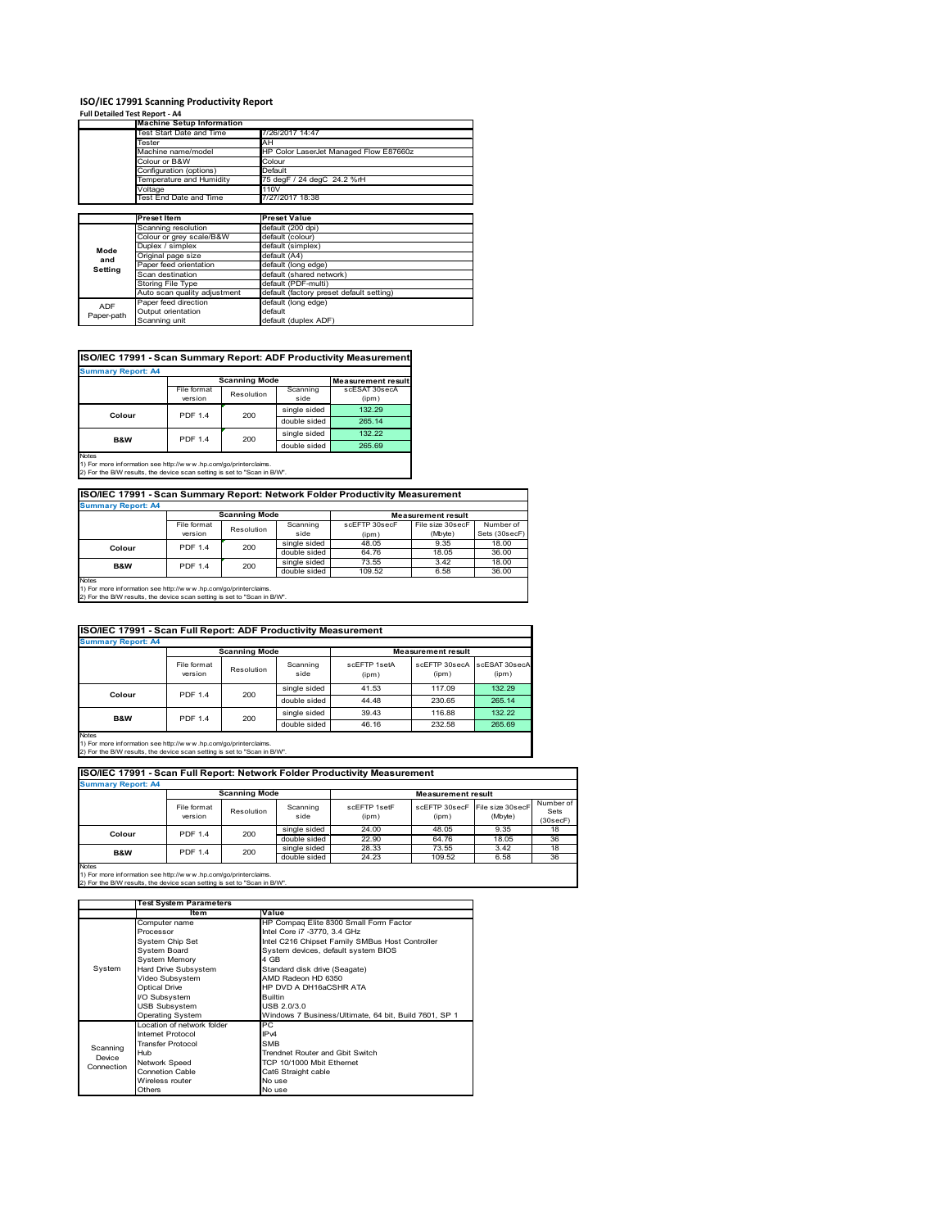#### **ISO/IEC 17991 Scanning Productivity Report Full Detailed Test Report ‐ A4**

| $1.911$ Decented Test Report - $7.7$ |                                  |                                          |  |  |
|--------------------------------------|----------------------------------|------------------------------------------|--|--|
|                                      | <b>Machine Setup Information</b> |                                          |  |  |
|                                      | <b>Test Start Date and Time</b>  | 7/26/2017 14:47                          |  |  |
|                                      | Tester                           | AH                                       |  |  |
|                                      | Machine name/model               | HP Color LaserJet Managed Flow E87660z   |  |  |
|                                      | Colour or B&W                    | Colour                                   |  |  |
|                                      | Configuration (options)          | Default                                  |  |  |
|                                      | Temperature and Humidity         | 75 degF / 24 degC 24.2 %rH               |  |  |
|                                      | Voltage                          | 110V                                     |  |  |
|                                      | Test End Date and Time           | 7/27/2017 18:38                          |  |  |
|                                      |                                  |                                          |  |  |
|                                      | <b>Preset Item</b>               | <b>Preset Value</b>                      |  |  |
|                                      | Scanning resolution              | default (200 dpi)                        |  |  |
|                                      | Colour or grey scale/B&W         | default (colour)                         |  |  |
| Mode                                 | Duplex / simplex                 | default (simplex)                        |  |  |
| and                                  | Original page size               | default (A4)                             |  |  |
| Setting                              | Paper feed orientation           | default (long edge)                      |  |  |
|                                      | Scan destination                 | default (shared network)                 |  |  |
|                                      | Storing File Type                | default (PDF-multi)                      |  |  |
|                                      | Auto scan quality adjustment     | default (factory preset default setting) |  |  |
| ADF                                  | Paper feed direction             | default (long edge)                      |  |  |
| Paper-path                           | Output orientation               | default                                  |  |  |
|                                      | Scanning unit                    | default (duplex ADF)                     |  |  |

### **ISO/IEC 17991 - Scan Summary Report: ADF Productivity Measurement**

| <b>Summary Report: A4</b> |                        |                      |                  |                           |  |  |  |
|---------------------------|------------------------|----------------------|------------------|---------------------------|--|--|--|
|                           |                        | <b>Scanning Mode</b> |                  | <b>Measurement result</b> |  |  |  |
|                           | File format<br>version | Resolution           | Scanning<br>side | scESAT 30secA<br>(ipm)    |  |  |  |
|                           | <b>PDF 1.4</b>         | 200                  | single sided     | 132.29                    |  |  |  |
| Colour                    |                        |                      | double sided     | 265.14                    |  |  |  |
| <b>B&amp;W</b>            | <b>PDF 1.4</b>         | 200                  | single sided     | 132.22                    |  |  |  |
|                           |                        |                      | double sided     | 265.69                    |  |  |  |
| <b>Notes</b>              |                        |                      |                  |                           |  |  |  |

1) For more information see http://w w w .hp.com/go/printerclaims. 2) For the B/W results, the device scan setting is set to "Scan in B/W".

## **ISO/IEC 17991 - Scan Summary Report: Network Folder Productivity Measurement Summary Report: A4**

| <b>BUILDING REDOLL AS</b> |                      |            |              |                           |                  |               |  |
|---------------------------|----------------------|------------|--------------|---------------------------|------------------|---------------|--|
|                           | <b>Scanning Mode</b> |            |              | <b>Measurement result</b> |                  |               |  |
|                           | File format          | Resolution | Scanning     | scEFTP 30secF             | File size 30secF | Number of     |  |
|                           | version              |            | side         | (ipm)                     | (Mbyte)          | Sets (30secF) |  |
| Colour                    | <b>PDF 1.4</b>       | 200        | single sided | 48.05                     | 9.35             | 18.00         |  |
|                           |                      |            | double sided | 64.76                     | 18.05            | 36.00         |  |
| B&W                       | <b>PDF 1.4</b>       | 200        | single sided | 73.55                     | 3.42             | 18.00         |  |
|                           |                      |            | double sided | 109.52                    | 6.58             | 36.00         |  |
| <b>Notes</b>              |                      |            |              |                           |                  |               |  |

Notes 1) For more information see http://w w w .hp.com/go/printerclaims. 2) For the B/W results, the device scan setting is set to "Scan in B/W".

| ISO/IEC 17991 - Scan Full Report: ADF Productivity Measurement |                        |                      |                  |                       |                           |                        |  |  |
|----------------------------------------------------------------|------------------------|----------------------|------------------|-----------------------|---------------------------|------------------------|--|--|
| <b>Summary Report: A4</b>                                      |                        |                      |                  |                       |                           |                        |  |  |
|                                                                |                        | <b>Scanning Mode</b> |                  |                       | <b>Measurement result</b> |                        |  |  |
|                                                                | File format<br>version | Resolution           | Scanning<br>side | scFFTP 1setA<br>(ipm) | scEFTP 30secA<br>(ipm)    | scESAT 30secA<br>(ipm) |  |  |
| Colour                                                         | <b>PDF 1.4</b><br>200  |                      | single sided     | 41.53                 | 117.09                    | 132.29                 |  |  |
|                                                                |                        | double sided         | 44.48            | 230.65                | 265.14                    |                        |  |  |
| <b>B&amp;W</b>                                                 | <b>PDF 1.4</b>         | 200                  | single sided     | 39.43                 | 116.88                    | 132.22                 |  |  |
|                                                                |                        |                      | double sided     | 46.16                 | 232.58                    | 265.69                 |  |  |
| <b>Notes</b>                                                   |                        |                      |                  |                       |                           |                        |  |  |

Notes 1) For more information see http://w w w .hp.com/go/printerclaims. 2) For the B/W results, the device scan setting is set to "Scan in B/W".

| ISO/IEC 17991 - Scan Full Report: Network Folder Productivity Measurement |                        |                      |                  |                       |                                         |         |                               |
|---------------------------------------------------------------------------|------------------------|----------------------|------------------|-----------------------|-----------------------------------------|---------|-------------------------------|
| <b>Summary Report: A4</b>                                                 |                        |                      |                  |                       |                                         |         |                               |
|                                                                           |                        | <b>Scanning Mode</b> |                  |                       | <b>Measurement result</b>               |         |                               |
|                                                                           | File format<br>version | Resolution           | Scanning<br>side | scFFTP 1setF<br>(ipm) | scEFTP 30secF File size 30secF<br>(ipm) | (Mbyte) | Number of<br>Sets<br>(30secF) |
| Colour                                                                    | <b>PDF 1.4</b>         | 200                  | single sided     | 24.00                 | 48.05                                   | 9.35    | 18                            |
|                                                                           |                        |                      | double sided     | 22.90                 | 64.76                                   | 18.05   | 36                            |
| <b>B&amp;W</b>                                                            | <b>PDF 1.4</b>         | 200                  | single sided     | 28.33                 | 73.55                                   | 3.42    | 18                            |
|                                                                           |                        |                      | double sided     | 24.23                 | 109.52                                  | 6.58    | 36                            |
| <b>Notes</b>                                                              |                        |                      |                  |                       |                                         |         |                               |

|            | <b>Test System Parameters</b> |                                                       |  |  |
|------------|-------------------------------|-------------------------------------------------------|--|--|
|            | ltem                          | Value                                                 |  |  |
|            | Computer name                 | HP Compaq Elite 8300 Small Form Factor                |  |  |
|            | Processor                     | Intel Core i7 -3770, 3.4 GHz                          |  |  |
|            | System Chip Set               | Intel C216 Chipset Family SMBus Host Controller       |  |  |
|            | System Board                  | System devices, default system BIOS                   |  |  |
|            | <b>System Memory</b>          | 4 GB                                                  |  |  |
| System     | Hard Drive Subsystem          | Standard disk drive (Seagate)                         |  |  |
|            | Video Subsystem               | AMD Radeon HD 6350                                    |  |  |
|            | <b>Optical Drive</b>          | HP DVD A DH16aCSHR ATA                                |  |  |
|            | I/O Subsystem                 | <b>Builtin</b>                                        |  |  |
|            | <b>USB Subsystem</b>          | USB 2.0/3.0                                           |  |  |
|            | <b>Operating System</b>       | Windows 7 Business/Ultimate, 64 bit, Build 7601, SP 1 |  |  |
|            | I ocation of network folder   | РC                                                    |  |  |
|            | <b>Internet Protocol</b>      | IP <sub>v4</sub>                                      |  |  |
| Scanning   | <b>Transfer Protocol</b>      | <b>SMB</b>                                            |  |  |
| Device     | Hub                           | Trendnet Router and Gbit Switch                       |  |  |
| Connection | Network Speed                 | TCP 10/1000 Mbit Ethernet                             |  |  |
|            | <b>Connetion Cable</b>        | Cat6 Straight cable                                   |  |  |
|            | Wireless router               | No use                                                |  |  |
|            | Others                        | No use                                                |  |  |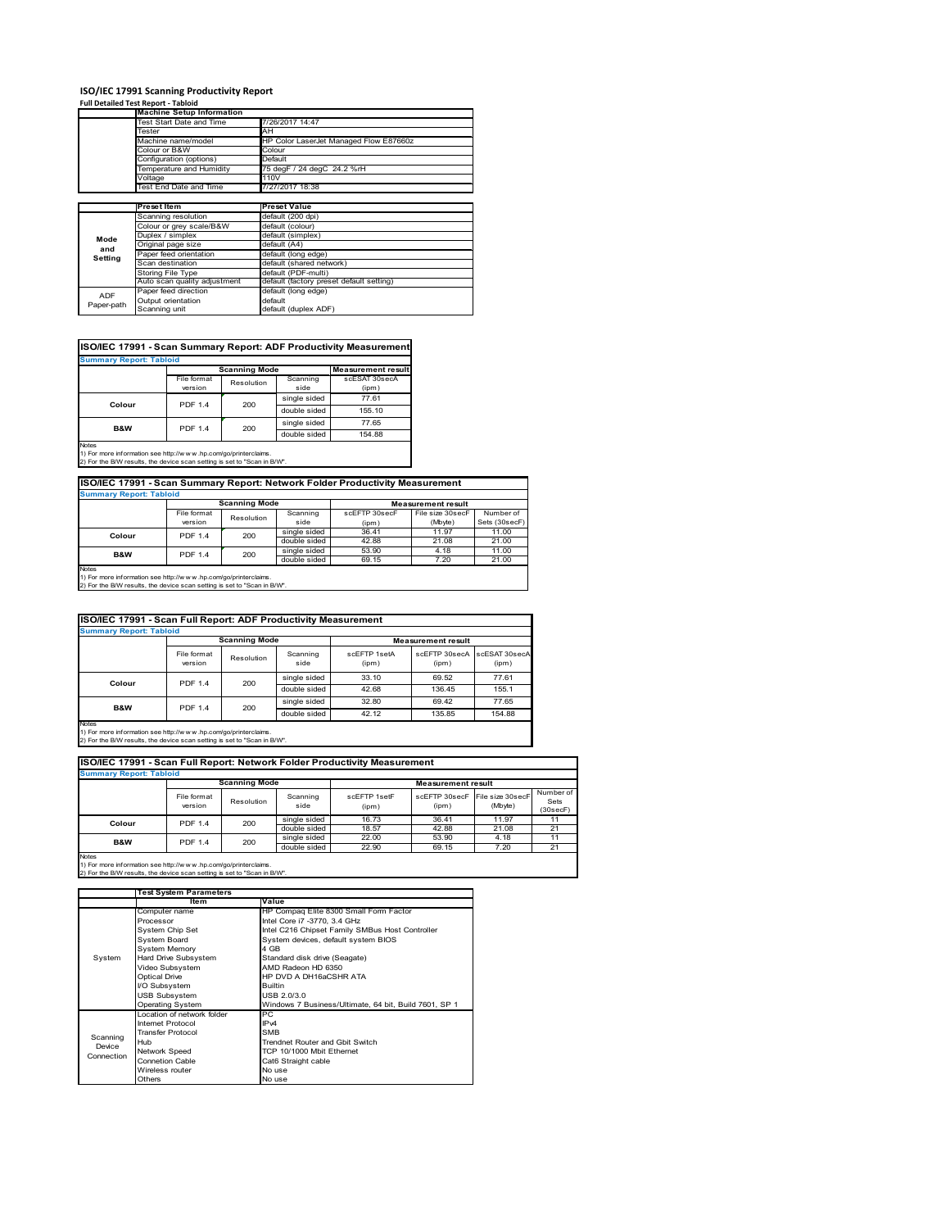# **ISO/IEC 17991 Scanning Productivity Report Full Detailed Test Report ‐ Tabloid Machine Setup Information**

|            | <b>Machine Setup Information</b> |                                          |  |  |  |  |
|------------|----------------------------------|------------------------------------------|--|--|--|--|
|            | Test Start Date and Time         | 7/26/2017 14:47                          |  |  |  |  |
|            | Tester                           | AH                                       |  |  |  |  |
|            | Machine name/model               | HP Color LaserJet Managed Flow E87660z   |  |  |  |  |
|            | Colour or B&W                    | Colour                                   |  |  |  |  |
|            | Configuration (options)          | Default                                  |  |  |  |  |
|            | Temperature and Humidity         | 75 degF / 24 degC 24.2 %rH               |  |  |  |  |
|            | Voltage                          | 110V                                     |  |  |  |  |
|            | Test End Date and Time           | 7/27/2017 18:38                          |  |  |  |  |
|            |                                  |                                          |  |  |  |  |
|            | Preset Item                      | <b>Preset Value</b>                      |  |  |  |  |
|            | Scanning resolution              | default (200 dpi)                        |  |  |  |  |
|            | Colour or grey scale/B&W         | default (colour)                         |  |  |  |  |
| Mode       | Duplex / simplex                 | default (simplex)                        |  |  |  |  |
|            | Original page size               | default (A4)                             |  |  |  |  |
| and        | Paper feed orientation           | default (long edge)                      |  |  |  |  |
| Setting    | Scan destination                 | default (shared network)                 |  |  |  |  |
|            | <b>Storing File Type</b>         | default (PDF-multi)                      |  |  |  |  |
|            | Auto scan quality adjustment     | default (factory preset default setting) |  |  |  |  |
| <b>ADF</b> | Paper feed direction             | default (long edge)                      |  |  |  |  |
|            | Output orientation               | default                                  |  |  |  |  |
| Paper-path | Scanning unit                    | default (duplex ADF)                     |  |  |  |  |

| <b>Summary Report: Tabloid</b> |                        |                      |                  |                           |
|--------------------------------|------------------------|----------------------|------------------|---------------------------|
|                                |                        | <b>Scanning Mode</b> |                  | <b>Measurement result</b> |
|                                | File format<br>version | Resolution           | Scanning<br>side | scESAT 30secA<br>(ipm)    |
| Colour                         | <b>PDF 1.4</b>         | 200                  | single sided     | 77.61                     |
|                                |                        |                      | double sided     | 155.10                    |
| <b>B&amp;W</b>                 | <b>PDF 1.4</b>         | 200                  | single sided     | 77.65                     |
|                                |                        |                      | double sided     | 154.88                    |

1) For more information see http://w w w .hp.com/go/printerclaims. 2) For the B/W results, the device scan setting is set to "Scan in B/W".

| ISO/IEC 17991 - Scan Summary Report: Network Folder Productivity Measurement |                |                      |              |                           |                  |               |  |  |
|------------------------------------------------------------------------------|----------------|----------------------|--------------|---------------------------|------------------|---------------|--|--|
| <b>Summary Report: Tabloid</b>                                               |                |                      |              |                           |                  |               |  |  |
|                                                                              |                | <b>Scanning Mode</b> |              | <b>Measurement result</b> |                  |               |  |  |
|                                                                              | File format    | Resolution           | Scanning     | scEFTP 30secF             | File size 30secF | Number of     |  |  |
|                                                                              | version        |                      | side         | (ipm)                     | (Mbyte)          | Sets (30secF) |  |  |
| Colour                                                                       | <b>PDF 1.4</b> | 200                  | single sided | 36.41                     | 11.97            | 11.00         |  |  |
|                                                                              |                |                      | double sided | 42.88                     | 21.08            | 21.00         |  |  |
| <b>B&amp;W</b>                                                               | <b>PDF 1.4</b> | 200                  | single sided | 53.90                     | 4.18             | 11.00         |  |  |
|                                                                              |                |                      | double sided | 69.15                     | 7.20             | 21.00         |  |  |
| <b>Alatan</b>                                                                |                |                      |              |                           |                  |               |  |  |

Notes 1) For more information see http://w w w .hp.com/go/printerclaims. 2) For the B/W results, the device scan setting is set to "Scan in B/W".

| ISO/IEC 17991 - Scan Full Report: ADF Productivity Measurement                                                                                                 |                                |                      |                  |                       |                           |                        |  |  |  |
|----------------------------------------------------------------------------------------------------------------------------------------------------------------|--------------------------------|----------------------|------------------|-----------------------|---------------------------|------------------------|--|--|--|
|                                                                                                                                                                | <b>Summary Report: Tabloid</b> |                      |                  |                       |                           |                        |  |  |  |
|                                                                                                                                                                |                                | <b>Scanning Mode</b> |                  |                       | <b>Measurement result</b> |                        |  |  |  |
|                                                                                                                                                                | File format<br>version         | Resolution           | Scanning<br>side | scFFTP 1setA<br>(ipm) | scEETP 30secA<br>(ipm)    | scESAT 30secA<br>(ipm) |  |  |  |
| Colour                                                                                                                                                         | <b>PDF 1.4</b>                 | 200                  | single sided     | 33.10                 | 69.52                     | 77.61                  |  |  |  |
|                                                                                                                                                                |                                |                      | double sided     | 42.68                 | 136.45                    | 155.1                  |  |  |  |
|                                                                                                                                                                | <b>PDF 1.4</b>                 | 200                  | single sided     | 32.80                 | 69.42                     | 77.65                  |  |  |  |
| B&W                                                                                                                                                            |                                |                      | double sided     | 42.12                 | 135.85                    | 154.88                 |  |  |  |
| <b>Notes</b><br>1) For more information see http://w w w .hp.com/go/printerclaims.<br>2) For the B/W results, the device scan setting is set to "Scan in B/W". |                                |                      |                  |                       |                           |                        |  |  |  |

| ISO/IEC 17991 - Scan Full Report: Network Folder Productivity Measurement |                        |                      |                  |                       |                           |                             |                               |  |
|---------------------------------------------------------------------------|------------------------|----------------------|------------------|-----------------------|---------------------------|-----------------------------|-------------------------------|--|
| <b>Summary Report: Tabloid</b>                                            |                        |                      |                  |                       |                           |                             |                               |  |
|                                                                           |                        | <b>Scanning Mode</b> |                  |                       | <b>Measurement result</b> |                             |                               |  |
|                                                                           | File format<br>version | Resolution           | Scanning<br>side | scFFTP 1setF<br>(ipm) | scEFTP 30secF<br>(ipm)    | File size 30secF<br>(Mbyte) | Number of<br>Sets<br>(30secF) |  |
| Colour                                                                    | <b>PDF 1.4</b>         | 200                  | single sided     | 16.73                 | 36.41                     | 11.97                       | 11                            |  |
|                                                                           |                        |                      | double sided     | 18.57                 | 42.88                     | 21.08                       | 21                            |  |
| <b>B&amp;W</b>                                                            | <b>PDF 1.4</b>         | 200                  | single sided     | 22.00                 | 53.90                     | 4.18                        | 11                            |  |
|                                                                           |                        |                      | double sided     | 22.90                 | 69.15                     | 7.20                        | 21                            |  |
| <b>Nintee</b>                                                             |                        |                      |                  |                       |                           |                             |                               |  |

|            | <b>Test System Parameters</b> |                                                       |  |  |
|------------|-------------------------------|-------------------------------------------------------|--|--|
|            | Item                          | Value                                                 |  |  |
|            | Computer name                 | HP Compaq Elite 8300 Small Form Factor                |  |  |
|            | Processor                     | Intel Core i7 -3770, 3.4 GHz                          |  |  |
|            | System Chip Set               | Intel C216 Chipset Family SMBus Host Controller       |  |  |
|            | <b>System Board</b>           | System devices, default system BIOS                   |  |  |
|            | <b>System Memory</b>          | 4 GB                                                  |  |  |
| System     | Hard Drive Subsystem          | Standard disk drive (Seagate)                         |  |  |
|            | Video Subsystem               | AMD Radeon HD 6350                                    |  |  |
|            | <b>Optical Drive</b>          | HP DVD A DH16aCSHR ATA                                |  |  |
|            | I/O Subsystem                 | <b>Builtin</b>                                        |  |  |
|            | <b>USB Subsystem</b>          | USB 2.0/3.0                                           |  |  |
|            | Operating System              | Windows 7 Business/Ultimate, 64 bit, Build 7601, SP 1 |  |  |
|            | I ocation of network folder   | <b>PC</b>                                             |  |  |
|            | Internet Protocol             | IP <sub>v4</sub>                                      |  |  |
| Scanning   | <b>Transfer Protocol</b>      | <b>SMB</b>                                            |  |  |
| Device     | Hub                           | Trendnet Router and Gbit Switch                       |  |  |
| Connection | Network Speed                 | TCP 10/1000 Mbit Ethernet                             |  |  |
|            | Connetion Cable               | Cat6 Straight cable                                   |  |  |
|            | Wireless router               | No use                                                |  |  |
|            | Others                        | No use                                                |  |  |